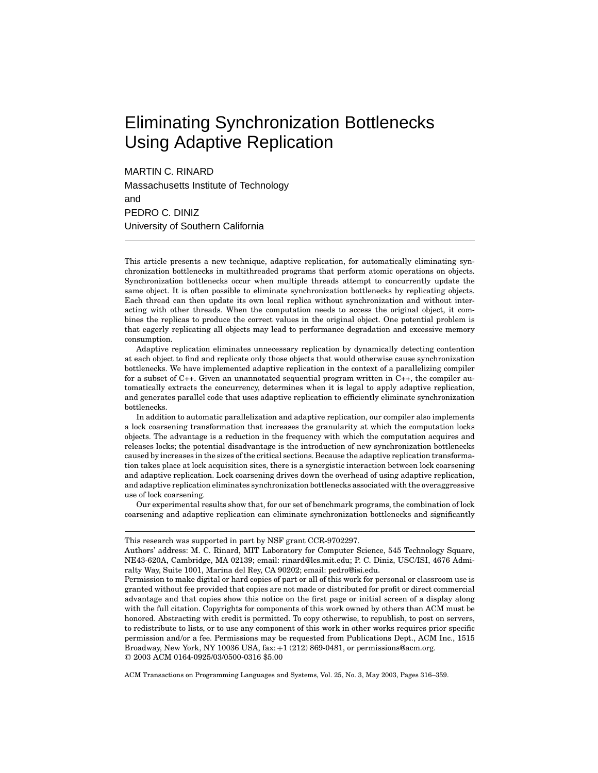# Eliminating Synchronization Bottlenecks Using Adaptive Replication

MARTIN C. RINARD

Massachusetts Institute of Technology and

PEDRO C. DINIZ University of Southern California

This article presents a new technique, adaptive replication, for automatically eliminating synchronization bottlenecks in multithreaded programs that perform atomic operations on objects. Synchronization bottlenecks occur when multiple threads attempt to concurrently update the same object. It is often possible to eliminate synchronization bottlenecks by replicating objects. Each thread can then update its own local replica without synchronization and without interacting with other threads. When the computation needs to access the original object, it combines the replicas to produce the correct values in the original object. One potential problem is that eagerly replicating all objects may lead to performance degradation and excessive memory consumption.

Adaptive replication eliminates unnecessary replication by dynamically detecting contention at each object to find and replicate only those objects that would otherwise cause synchronization bottlenecks. We have implemented adaptive replication in the context of a parallelizing compiler for a subset of  $C_{++}$ . Given an unannotated sequential program written in  $C_{++}$ , the compiler automatically extracts the concurrency, determines when it is legal to apply adaptive replication, and generates parallel code that uses adaptive replication to efficiently eliminate synchronization bottlenecks.

In addition to automatic parallelization and adaptive replication, our compiler also implements a lock coarsening transformation that increases the granularity at which the computation locks objects. The advantage is a reduction in the frequency with which the computation acquires and releases locks; the potential disadvantage is the introduction of new synchronization bottlenecks caused by increases in the sizes of the critical sections. Because the adaptive replication transformation takes place at lock acquisition sites, there is a synergistic interaction between lock coarsening and adaptive replication. Lock coarsening drives down the overhead of using adaptive replication, and adaptive replication eliminates synchronization bottlenecks associated with the overaggressive use of lock coarsening.

Our experimental results show that, for our set of benchmark programs, the combination of lock coarsening and adaptive replication can eliminate synchronization bottlenecks and significantly

This research was supported in part by NSF grant CCR-9702297.

Authors' address: M. C. Rinard, MIT Laboratory for Computer Science, 545 Technology Square, NE43-620A, Cambridge, MA 02139; email: rinard@lcs.mit.edu; P. C. Diniz, USC/ISI, 4676 Admiralty Way, Suite 1001, Marina del Rey, CA 90202; email: pedro@isi.edu.

Permission to make digital or hard copies of part or all of this work for personal or classroom use is granted without fee provided that copies are not made or distributed for profit or direct commercial advantage and that copies show this notice on the first page or initial screen of a display along with the full citation. Copyrights for components of this work owned by others than ACM must be honored. Abstracting with credit is permitted. To copy otherwise, to republish, to post on servers, to redistribute to lists, or to use any component of this work in other works requires prior specific permission and/or a fee. Permissions may be requested from Publications Dept., ACM Inc., 1515 Broadway, New York, NY 10036 USA,  $\text{fax:} +1$  (212) 869-0481, or permissions@acm.org. °<sup>C</sup> 2003 ACM 0164-0925/03/0500-0316 \$5.00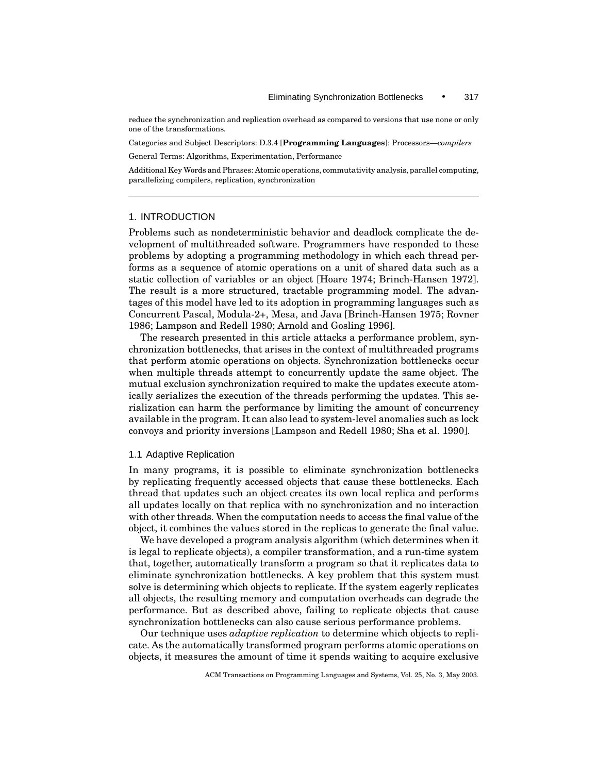reduce the synchronization and replication overhead as compared to versions that use none or only one of the transformations.

Categories and Subject Descriptors: D.3.4 [**Programming Languages**]: Processors—*compilers* General Terms: Algorithms, Experimentation, Performance

Additional Key Words and Phrases: Atomic operations, commutativity analysis, parallel computing, parallelizing compilers, replication, synchronization

# 1. INTRODUCTION

Problems such as nondeterministic behavior and deadlock complicate the development of multithreaded software. Programmers have responded to these problems by adopting a programming methodology in which each thread performs as a sequence of atomic operations on a unit of shared data such as a static collection of variables or an object [Hoare 1974; Brinch-Hansen 1972]. The result is a more structured, tractable programming model. The advantages of this model have led to its adoption in programming languages such as Concurrent Pascal, Modula-2+, Mesa, and Java [Brinch-Hansen 1975; Rovner 1986; Lampson and Redell 1980; Arnold and Gosling 1996].

The research presented in this article attacks a performance problem, synchronization bottlenecks, that arises in the context of multithreaded programs that perform atomic operations on objects. Synchronization bottlenecks occur when multiple threads attempt to concurrently update the same object. The mutual exclusion synchronization required to make the updates execute atomically serializes the execution of the threads performing the updates. This serialization can harm the performance by limiting the amount of concurrency available in the program. It can also lead to system-level anomalies such as lock convoys and priority inversions [Lampson and Redell 1980; Sha et al. 1990].

# 1.1 Adaptive Replication

In many programs, it is possible to eliminate synchronization bottlenecks by replicating frequently accessed objects that cause these bottlenecks. Each thread that updates such an object creates its own local replica and performs all updates locally on that replica with no synchronization and no interaction with other threads. When the computation needs to access the final value of the object, it combines the values stored in the replicas to generate the final value.

We have developed a program analysis algorithm (which determines when it is legal to replicate objects), a compiler transformation, and a run-time system that, together, automatically transform a program so that it replicates data to eliminate synchronization bottlenecks. A key problem that this system must solve is determining which objects to replicate. If the system eagerly replicates all objects, the resulting memory and computation overheads can degrade the performance. But as described above, failing to replicate objects that cause synchronization bottlenecks can also cause serious performance problems.

Our technique uses *adaptive replication* to determine which objects to replicate. As the automatically transformed program performs atomic operations on objects, it measures the amount of time it spends waiting to acquire exclusive

ACM Transactions on Programming Languages and Systems, Vol. 25, No. 3, May 2003.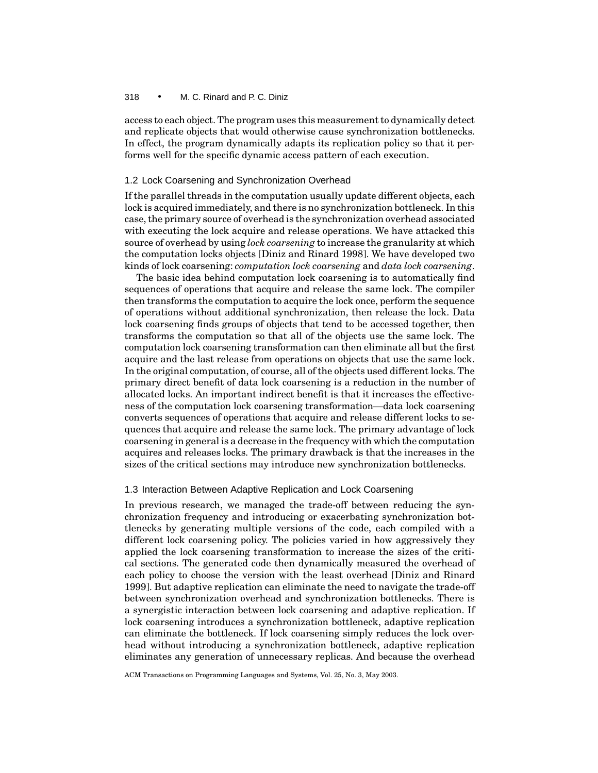access to each object. The program uses this measurement to dynamically detect and replicate objects that would otherwise cause synchronization bottlenecks. In effect, the program dynamically adapts its replication policy so that it performs well for the specific dynamic access pattern of each execution.

## 1.2 Lock Coarsening and Synchronization Overhead

If the parallel threads in the computation usually update different objects, each lock is acquired immediately, and there is no synchronization bottleneck. In this case, the primary source of overhead is the synchronization overhead associated with executing the lock acquire and release operations. We have attacked this source of overhead by using *lock coarsening* to increase the granularity at which the computation locks objects [Diniz and Rinard 1998]. We have developed two kinds of lock coarsening: *computation lock coarsening* and *data lock coarsening*.

The basic idea behind computation lock coarsening is to automatically find sequences of operations that acquire and release the same lock. The compiler then transforms the computation to acquire the lock once, perform the sequence of operations without additional synchronization, then release the lock. Data lock coarsening finds groups of objects that tend to be accessed together, then transforms the computation so that all of the objects use the same lock. The computation lock coarsening transformation can then eliminate all but the first acquire and the last release from operations on objects that use the same lock. In the original computation, of course, all of the objects used different locks. The primary direct benefit of data lock coarsening is a reduction in the number of allocated locks. An important indirect benefit is that it increases the effectiveness of the computation lock coarsening transformation—data lock coarsening converts sequences of operations that acquire and release different locks to sequences that acquire and release the same lock. The primary advantage of lock coarsening in general is a decrease in the frequency with which the computation acquires and releases locks. The primary drawback is that the increases in the sizes of the critical sections may introduce new synchronization bottlenecks.

#### 1.3 Interaction Between Adaptive Replication and Lock Coarsening

In previous research, we managed the trade-off between reducing the synchronization frequency and introducing or exacerbating synchronization bottlenecks by generating multiple versions of the code, each compiled with a different lock coarsening policy. The policies varied in how aggressively they applied the lock coarsening transformation to increase the sizes of the critical sections. The generated code then dynamically measured the overhead of each policy to choose the version with the least overhead [Diniz and Rinard 1999]. But adaptive replication can eliminate the need to navigate the trade-off between synchronization overhead and synchronization bottlenecks. There is a synergistic interaction between lock coarsening and adaptive replication. If lock coarsening introduces a synchronization bottleneck, adaptive replication can eliminate the bottleneck. If lock coarsening simply reduces the lock overhead without introducing a synchronization bottleneck, adaptive replication eliminates any generation of unnecessary replicas. And because the overhead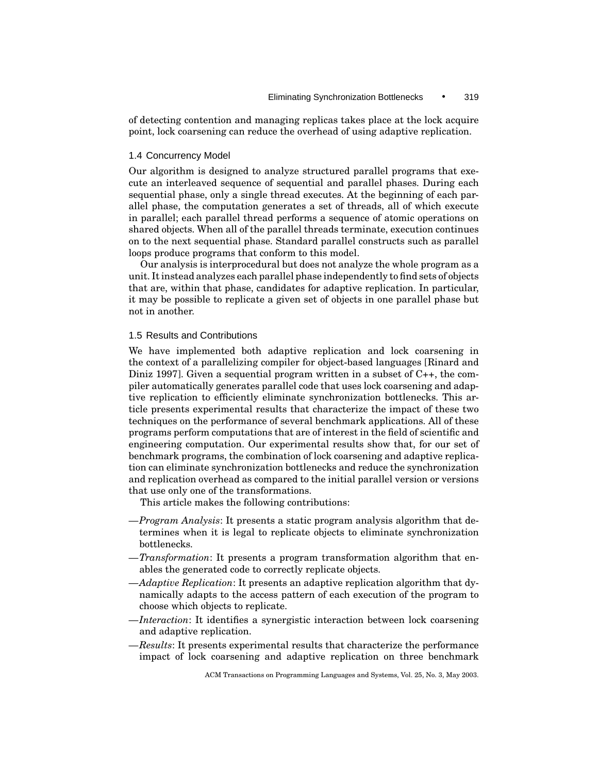of detecting contention and managing replicas takes place at the lock acquire point, lock coarsening can reduce the overhead of using adaptive replication.

# 1.4 Concurrency Model

Our algorithm is designed to analyze structured parallel programs that execute an interleaved sequence of sequential and parallel phases. During each sequential phase, only a single thread executes. At the beginning of each parallel phase, the computation generates a set of threads, all of which execute in parallel; each parallel thread performs a sequence of atomic operations on shared objects. When all of the parallel threads terminate, execution continues on to the next sequential phase. Standard parallel constructs such as parallel loops produce programs that conform to this model.

Our analysis is interprocedural but does not analyze the whole program as a unit. It instead analyzes each parallel phase independently to find sets of objects that are, within that phase, candidates for adaptive replication. In particular, it may be possible to replicate a given set of objects in one parallel phase but not in another.

# 1.5 Results and Contributions

We have implemented both adaptive replication and lock coarsening in the context of a parallelizing compiler for object-based languages [Rinard and Diniz 1997]. Given a sequential program written in a subset of C++, the compiler automatically generates parallel code that uses lock coarsening and adaptive replication to efficiently eliminate synchronization bottlenecks. This article presents experimental results that characterize the impact of these two techniques on the performance of several benchmark applications. All of these programs perform computations that are of interest in the field of scientific and engineering computation. Our experimental results show that, for our set of benchmark programs, the combination of lock coarsening and adaptive replication can eliminate synchronization bottlenecks and reduce the synchronization and replication overhead as compared to the initial parallel version or versions that use only one of the transformations.

This article makes the following contributions:

- —*Program Analysis*: It presents a static program analysis algorithm that determines when it is legal to replicate objects to eliminate synchronization bottlenecks.
- —*Transformation*: It presents a program transformation algorithm that enables the generated code to correctly replicate objects.
- —*Adaptive Replication*: It presents an adaptive replication algorithm that dynamically adapts to the access pattern of each execution of the program to choose which objects to replicate.
- —*Interaction*: It identifies a synergistic interaction between lock coarsening and adaptive replication.
- —*Results*: It presents experimental results that characterize the performance impact of lock coarsening and adaptive replication on three benchmark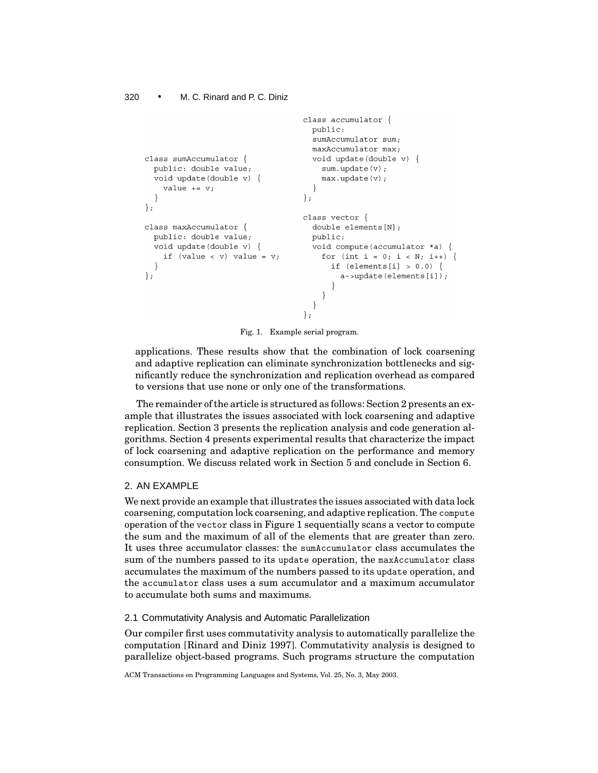```
class accumulator {
                                      public:
                                      sumAccumulator sum;
                                      maxAccumulator max;
class sumAccumulator {
                                      void update(double v) {
  public: double value;
                                         sum.update(v);void update(double v) {
                                        max.update(v);
                                      \left\{ \right\}value += v;\};
  ₹
\};
                                    class vector \{class maxAccumulator {
                                      double elements [N];
  public: double value;
                                      public:
  void update(double v) {
                                      void compute (accumulator *a) {
    if (value < v) value = v;
                                        for (int i = 0; i < N; i++) {
                                           if (elements[i] > 0.0) {
\};
                                             a->update(elements[i]);
                                         \}\}\} ;
```
Fig. 1. Example serial program.

applications. These results show that the combination of lock coarsening and adaptive replication can eliminate synchronization bottlenecks and significantly reduce the synchronization and replication overhead as compared to versions that use none or only one of the transformations.

The remainder of the article is structured as follows: Section 2 presents an example that illustrates the issues associated with lock coarsening and adaptive replication. Section 3 presents the replication analysis and code generation algorithms. Section 4 presents experimental results that characterize the impact of lock coarsening and adaptive replication on the performance and memory consumption. We discuss related work in Section 5 and conclude in Section 6.

# 2. AN EXAMPLE

We next provide an example that illustrates the issues associated with data lock coarsening, computation lock coarsening, and adaptive replication. The compute operation of the vector class in Figure 1 sequentially scans a vector to compute the sum and the maximum of all of the elements that are greater than zero. It uses three accumulator classes: the sumAccumulator class accumulates the sum of the numbers passed to its update operation, the maxAccumulator class accumulates the maximum of the numbers passed to its update operation, and the accumulator class uses a sum accumulator and a maximum accumulator to accumulate both sums and maximums.

## 2.1 Commutativity Analysis and Automatic Parallelization

Our compiler first uses commutativity analysis to automatically parallelize the computation [Rinard and Diniz 1997]. Commutativity analysis is designed to parallelize object-based programs. Such programs structure the computation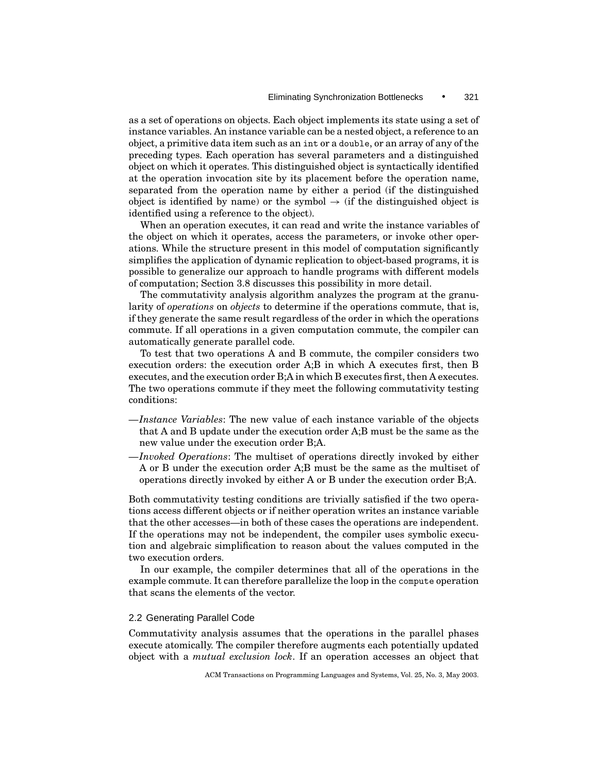as a set of operations on objects. Each object implements its state using a set of instance variables. An instance variable can be a nested object, a reference to an object, a primitive data item such as an int or a double, or an array of any of the preceding types. Each operation has several parameters and a distinguished object on which it operates. This distinguished object is syntactically identified at the operation invocation site by its placement before the operation name, separated from the operation name by either a period (if the distinguished object is identified by name) or the symbol  $\rightarrow$  (if the distinguished object is identified using a reference to the object).

When an operation executes, it can read and write the instance variables of the object on which it operates, access the parameters, or invoke other operations. While the structure present in this model of computation significantly simplifies the application of dynamic replication to object-based programs, it is possible to generalize our approach to handle programs with different models of computation; Section 3.8 discusses this possibility in more detail.

The commutativity analysis algorithm analyzes the program at the granularity of *operations* on *objects* to determine if the operations commute, that is, if they generate the same result regardless of the order in which the operations commute. If all operations in a given computation commute, the compiler can automatically generate parallel code.

To test that two operations A and B commute, the compiler considers two execution orders: the execution order A;B in which A executes first, then B executes, and the execution order B;A in which B executes first, then A executes. The two operations commute if they meet the following commutativity testing conditions:

- —*Instance Variables*: The new value of each instance variable of the objects that A and B update under the execution order A;B must be the same as the new value under the execution order B;A.
- —*Invoked Operations*: The multiset of operations directly invoked by either A or B under the execution order A;B must be the same as the multiset of operations directly invoked by either A or B under the execution order B;A.

Both commutativity testing conditions are trivially satisfied if the two operations access different objects or if neither operation writes an instance variable that the other accesses—in both of these cases the operations are independent. If the operations may not be independent, the compiler uses symbolic execution and algebraic simplification to reason about the values computed in the two execution orders.

In our example, the compiler determines that all of the operations in the example commute. It can therefore parallelize the loop in the compute operation that scans the elements of the vector.

# 2.2 Generating Parallel Code

Commutativity analysis assumes that the operations in the parallel phases execute atomically. The compiler therefore augments each potentially updated object with a *mutual exclusion lock*. If an operation accesses an object that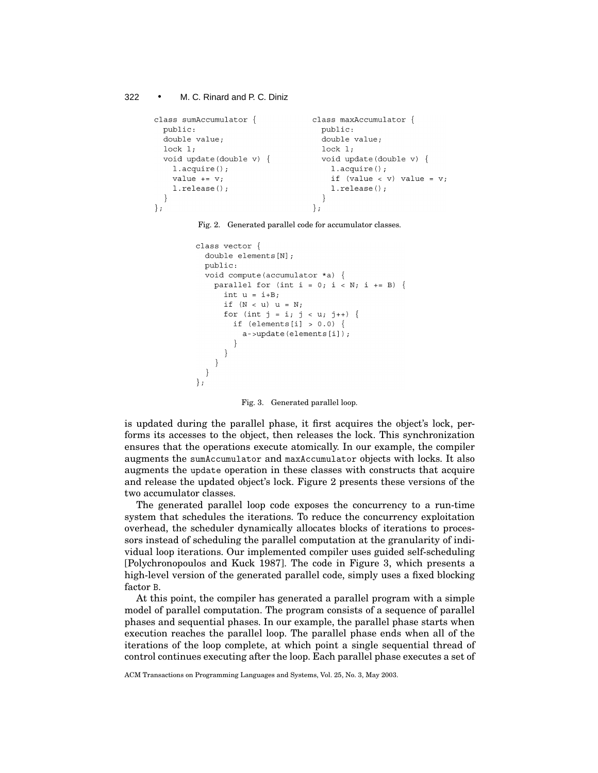```
class sumAccumulator {
                                      class maxAccumulator {
  public:
                                         public:
                                         double value;
  double value;
  lock 1;lock 1;void update(double v) {
                                         void update(double v) {
    1 \cdot \text{acquire}();
                                           1 \cdot \text{acquire}();
    value += v;if (value < v) value = v_il. release();
                                           l. release();
  \}\}\};
                                       \};
```
Fig. 2. Generated parallel code for accumulator classes.

```
class vector {
  double elements [N];
  public:
  void compute (accumulator *a) {
    parallel for (int i = 0; i < N; i += B) {
       int u = i+B;
       if (N < u) u = N;
       for (int j = i; j < u; j++) {
         if (elements[i] > 0.0) {
           a->update(elements[i]);
         \rightarrow\rightarrow\left\{ \right\}\}\};
```
Fig. 3. Generated parallel loop.

is updated during the parallel phase, it first acquires the object's lock, performs its accesses to the object, then releases the lock. This synchronization ensures that the operations execute atomically. In our example, the compiler augments the sumAccumulator and maxAccumulator objects with locks. It also augments the update operation in these classes with constructs that acquire and release the updated object's lock. Figure 2 presents these versions of the two accumulator classes.

The generated parallel loop code exposes the concurrency to a run-time system that schedules the iterations. To reduce the concurrency exploitation overhead, the scheduler dynamically allocates blocks of iterations to processors instead of scheduling the parallel computation at the granularity of individual loop iterations. Our implemented compiler uses guided self-scheduling [Polychronopoulos and Kuck 1987]. The code in Figure 3, which presents a high-level version of the generated parallel code, simply uses a fixed blocking factor B.

At this point, the compiler has generated a parallel program with a simple model of parallel computation. The program consists of a sequence of parallel phases and sequential phases. In our example, the parallel phase starts when execution reaches the parallel loop. The parallel phase ends when all of the iterations of the loop complete, at which point a single sequential thread of control continues executing after the loop. Each parallel phase executes a set of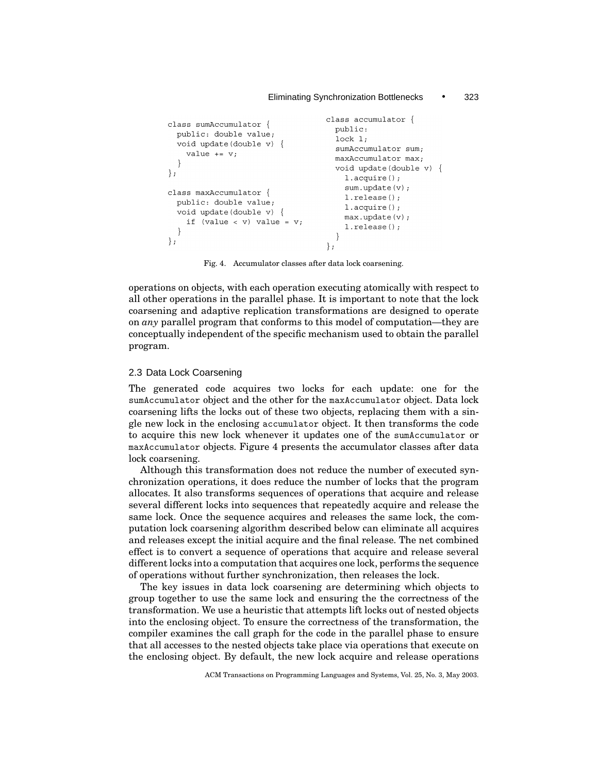#### Eliminating Synchronization Bottlenecks • 323

```
class accumulator {
class sumAccumulator {
                                        public:
  public: double value;
                                        lock 1;void update (double v) {
                                        sumAccumulator sum;
    value += v;maxAccumulator max:
  ₹
                                        void update(double v) {
\};
                                          1 \text{.} \text{acquire}();
                                          sum.update(v);class maxAccumulator {
                                          l. release();
  public: double value;
                                          1 \cdot \text{acquire}();
  void update(double v) {
                                          max.update(v);
    if (value < v) value = v;
                                          l. release();
                                        \{\};
                                      \};
```
Fig. 4. Accumulator classes after data lock coarsening.

operations on objects, with each operation executing atomically with respect to all other operations in the parallel phase. It is important to note that the lock coarsening and adaptive replication transformations are designed to operate on *any* parallel program that conforms to this model of computation—they are conceptually independent of the specific mechanism used to obtain the parallel program.

### 2.3 Data Lock Coarsening

The generated code acquires two locks for each update: one for the sumAccumulator object and the other for the maxAccumulator object. Data lock coarsening lifts the locks out of these two objects, replacing them with a single new lock in the enclosing accumulator object. It then transforms the code to acquire this new lock whenever it updates one of the sumAccumulator or maxAccumulator objects. Figure 4 presents the accumulator classes after data lock coarsening.

Although this transformation does not reduce the number of executed synchronization operations, it does reduce the number of locks that the program allocates. It also transforms sequences of operations that acquire and release several different locks into sequences that repeatedly acquire and release the same lock. Once the sequence acquires and releases the same lock, the computation lock coarsening algorithm described below can eliminate all acquires and releases except the initial acquire and the final release. The net combined effect is to convert a sequence of operations that acquire and release several different locks into a computation that acquires one lock, performs the sequence of operations without further synchronization, then releases the lock.

The key issues in data lock coarsening are determining which objects to group together to use the same lock and ensuring the the correctness of the transformation. We use a heuristic that attempts lift locks out of nested objects into the enclosing object. To ensure the correctness of the transformation, the compiler examines the call graph for the code in the parallel phase to ensure that all accesses to the nested objects take place via operations that execute on the enclosing object. By default, the new lock acquire and release operations

ACM Transactions on Programming Languages and Systems, Vol. 25, No. 3, May 2003.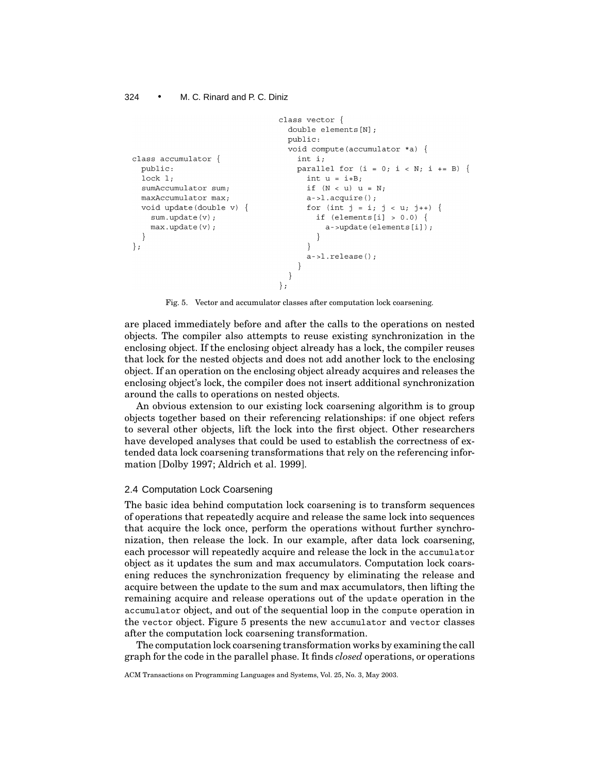```
class vector \{double elements[N];
                                   public:
                                   void compute (accumulator *a) {
class accumulator {
                                     int i;
                                     parallel for (i = 0; i < N; i += B) {
  public:
  lock 1;int u = i+B:
  sumAccumulator sum;
                                       if (N < u) u = N;
                                       a - 1. acquire();
  maxAccumulator max;
  void update(double v) {
                                       for (int j = i; j < u; j++) {
    sum.update(v);if (elements[i] > 0.0) {
    max.update(v);a->update(elements[i]);
                                        \}\};
                                       a->l.release();
                                     \mathcal{E}\}\} ;
```
Fig. 5. Vector and accumulator classes after computation lock coarsening.

are placed immediately before and after the calls to the operations on nested objects. The compiler also attempts to reuse existing synchronization in the enclosing object. If the enclosing object already has a lock, the compiler reuses that lock for the nested objects and does not add another lock to the enclosing object. If an operation on the enclosing object already acquires and releases the enclosing object's lock, the compiler does not insert additional synchronization around the calls to operations on nested objects.

An obvious extension to our existing lock coarsening algorithm is to group objects together based on their referencing relationships: if one object refers to several other objects, lift the lock into the first object. Other researchers have developed analyses that could be used to establish the correctness of extended data lock coarsening transformations that rely on the referencing information [Dolby 1997; Aldrich et al. 1999].

## 2.4 Computation Lock Coarsening

The basic idea behind computation lock coarsening is to transform sequences of operations that repeatedly acquire and release the same lock into sequences that acquire the lock once, perform the operations without further synchronization, then release the lock. In our example, after data lock coarsening, each processor will repeatedly acquire and release the lock in the accumulator object as it updates the sum and max accumulators. Computation lock coarsening reduces the synchronization frequency by eliminating the release and acquire between the update to the sum and max accumulators, then lifting the remaining acquire and release operations out of the update operation in the accumulator object, and out of the sequential loop in the compute operation in the vector object. Figure 5 presents the new accumulator and vector classes after the computation lock coarsening transformation.

The computation lock coarsening transformation works by examining the call graph for the code in the parallel phase. It finds *closed* operations, or operations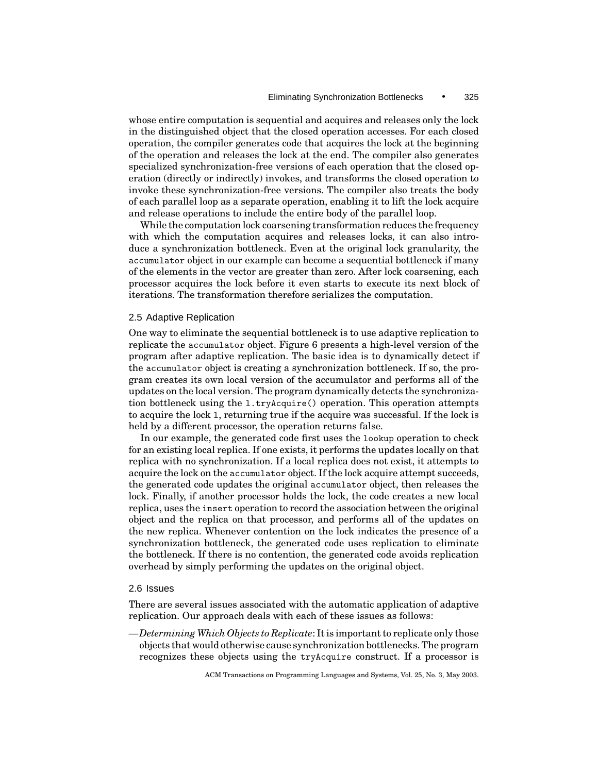whose entire computation is sequential and acquires and releases only the lock in the distinguished object that the closed operation accesses. For each closed operation, the compiler generates code that acquires the lock at the beginning of the operation and releases the lock at the end. The compiler also generates specialized synchronization-free versions of each operation that the closed operation (directly or indirectly) invokes, and transforms the closed operation to invoke these synchronization-free versions. The compiler also treats the body of each parallel loop as a separate operation, enabling it to lift the lock acquire and release operations to include the entire body of the parallel loop.

While the computation lock coarsening transformation reduces the frequency with which the computation acquires and releases locks, it can also introduce a synchronization bottleneck. Even at the original lock granularity, the accumulator object in our example can become a sequential bottleneck if many of the elements in the vector are greater than zero. After lock coarsening, each processor acquires the lock before it even starts to execute its next block of iterations. The transformation therefore serializes the computation.

# 2.5 Adaptive Replication

One way to eliminate the sequential bottleneck is to use adaptive replication to replicate the accumulator object. Figure 6 presents a high-level version of the program after adaptive replication. The basic idea is to dynamically detect if the accumulator object is creating a synchronization bottleneck. If so, the program creates its own local version of the accumulator and performs all of the updates on the local version. The program dynamically detects the synchronization bottleneck using the l.tryAcquire() operation. This operation attempts to acquire the lock l, returning true if the acquire was successful. If the lock is held by a different processor, the operation returns false.

In our example, the generated code first uses the lookup operation to check for an existing local replica. If one exists, it performs the updates locally on that replica with no synchronization. If a local replica does not exist, it attempts to acquire the lock on the accumulator object. If the lock acquire attempt succeeds, the generated code updates the original accumulator object, then releases the lock. Finally, if another processor holds the lock, the code creates a new local replica, uses the insert operation to record the association between the original object and the replica on that processor, and performs all of the updates on the new replica. Whenever contention on the lock indicates the presence of a synchronization bottleneck, the generated code uses replication to eliminate the bottleneck. If there is no contention, the generated code avoids replication overhead by simply performing the updates on the original object.

# 2.6 Issues

There are several issues associated with the automatic application of adaptive replication. Our approach deals with each of these issues as follows:

—*Determining Which Objects to Replicate*: It is important to replicate only those objects that would otherwise cause synchronization bottlenecks. The program recognizes these objects using the tryAcquire construct. If a processor is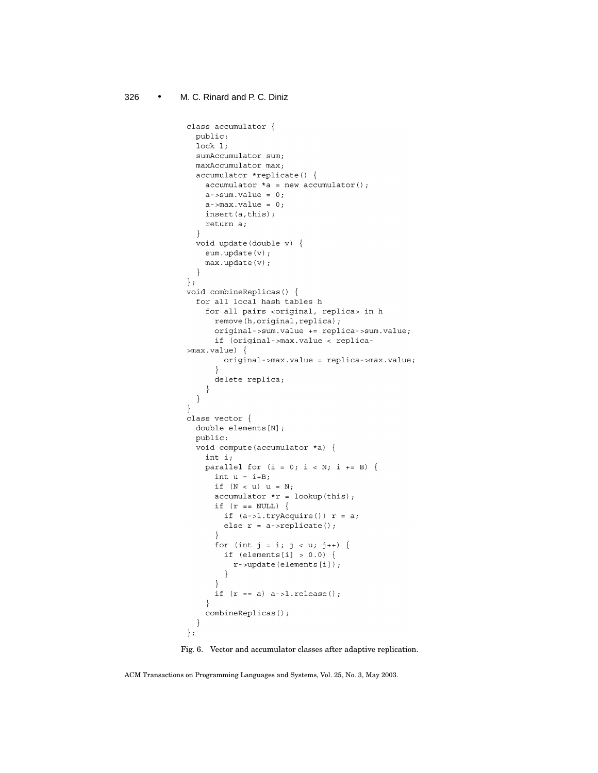```
class accumulator {
  public:
  lock 1;sumAccumulator sum;
  maxAccumulator max;accumulator *replicate() {
    accumulator *a = new accumulation();a\rightarrow sum.value = 0;a->max.value = 0;
    insert(a, this);
    return a;
  \}void update(double v) {
    sum.update(v);max.update(v);\}\};
void combineReplicas() {
  for all local hash tables h
    for all pairs <original, replica> in h
      remove(h, original, replica);
      original->sum.value += replica->sum.value;
      if (original->max.value < replica-
>max.value) {
       original->max.value = replica->max.value;
      \mathcal{E}delete replica;
    \rightarrow\}\}class vector {
  double elements[N];
  public:
  void compute(accumulator *a) {
    int i;parallel for (i = 0; i < N; i += B) {
      int u = i+B;
      if (N < u) u = N;
      accumulator *r = lookup(this);if (r == NULL) {
        if (a - 1.tryAcquire() ) r = a;else r = a->replicate();
      -1
      for (int j = i; j < u; j++) {
        if (elements[i] > 0.0) {
          r->update(elements[i]);
        \}\}if (r == a) a->l.release();
    \mathcal{E}combineReplicas();
  \rightarrow\};
```
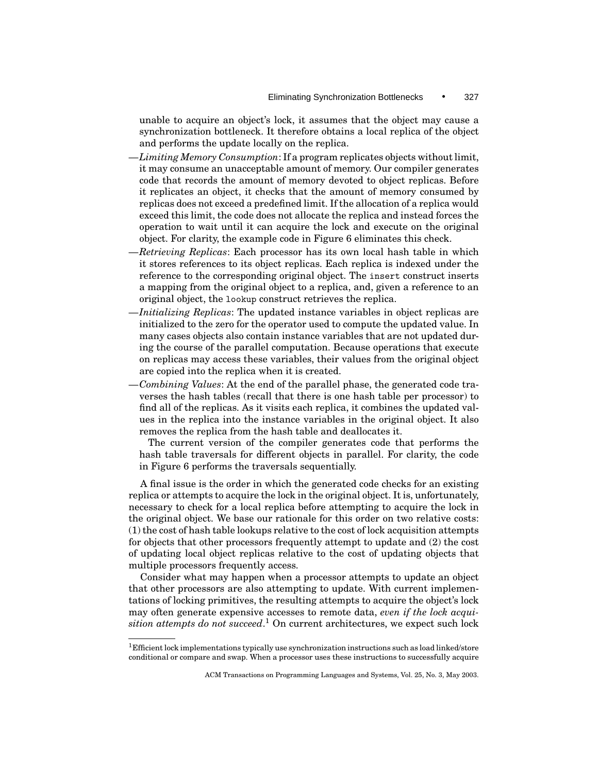unable to acquire an object's lock, it assumes that the object may cause a synchronization bottleneck. It therefore obtains a local replica of the object and performs the update locally on the replica.

- —*Limiting Memory Consumption*: If a program replicates objects without limit, it may consume an unacceptable amount of memory. Our compiler generates code that records the amount of memory devoted to object replicas. Before it replicates an object, it checks that the amount of memory consumed by replicas does not exceed a predefined limit. If the allocation of a replica would exceed this limit, the code does not allocate the replica and instead forces the operation to wait until it can acquire the lock and execute on the original object. For clarity, the example code in Figure 6 eliminates this check.
- —*Retrieving Replicas*: Each processor has its own local hash table in which it stores references to its object replicas. Each replica is indexed under the reference to the corresponding original object. The insert construct inserts a mapping from the original object to a replica, and, given a reference to an original object, the lookup construct retrieves the replica.
- —*Initializing Replicas*: The updated instance variables in object replicas are initialized to the zero for the operator used to compute the updated value. In many cases objects also contain instance variables that are not updated during the course of the parallel computation. Because operations that execute on replicas may access these variables, their values from the original object are copied into the replica when it is created.
- —*Combining Values*: At the end of the parallel phase, the generated code traverses the hash tables (recall that there is one hash table per processor) to find all of the replicas. As it visits each replica, it combines the updated values in the replica into the instance variables in the original object. It also removes the replica from the hash table and deallocates it.

The current version of the compiler generates code that performs the hash table traversals for different objects in parallel. For clarity, the code in Figure 6 performs the traversals sequentially.

A final issue is the order in which the generated code checks for an existing replica or attempts to acquire the lock in the original object. It is, unfortunately, necessary to check for a local replica before attempting to acquire the lock in the original object. We base our rationale for this order on two relative costs: (1) the cost of hash table lookups relative to the cost of lock acquisition attempts for objects that other processors frequently attempt to update and (2) the cost of updating local object replicas relative to the cost of updating objects that multiple processors frequently access.

Consider what may happen when a processor attempts to update an object that other processors are also attempting to update. With current implementations of locking primitives, the resulting attempts to acquire the object's lock may often generate expensive accesses to remote data, *even if the lock acquisition attempts do not succeed*. <sup>1</sup> On current architectures, we expect such lock

 $1$ Efficient lock implementations typically use synchronization instructions such as load linked/store conditional or compare and swap. When a processor uses these instructions to successfully acquire

ACM Transactions on Programming Languages and Systems, Vol. 25, No. 3, May 2003.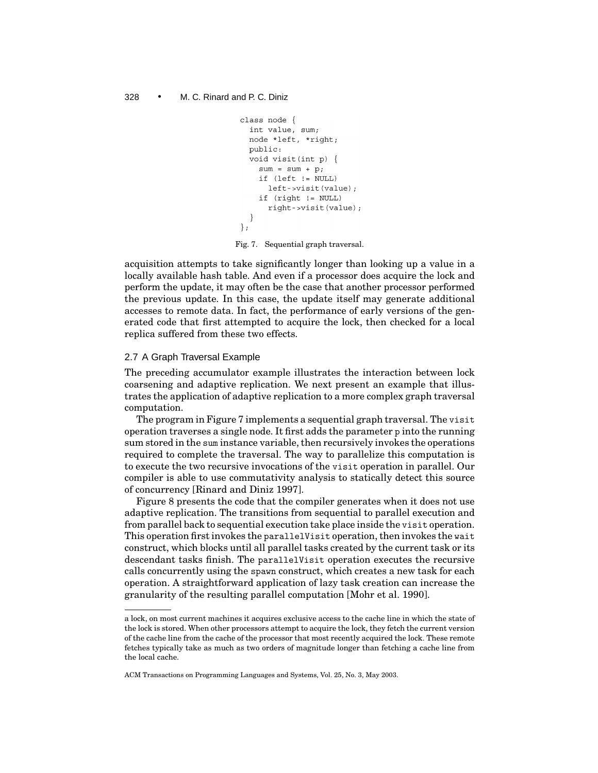```
class node {
  int value, sum;
  node *left, *right;
  public:
  void visit (int p) {
    sum = sum + p;if (left != NULL)
      left ->visit (value);
    if (right != NULL)right->visit(value);
\};
```
Fig. 7. Sequential graph traversal.

acquisition attempts to take significantly longer than looking up a value in a locally available hash table. And even if a processor does acquire the lock and perform the update, it may often be the case that another processor performed the previous update. In this case, the update itself may generate additional accesses to remote data. In fact, the performance of early versions of the generated code that first attempted to acquire the lock, then checked for a local replica suffered from these two effects.

# 2.7 A Graph Traversal Example

The preceding accumulator example illustrates the interaction between lock coarsening and adaptive replication. We next present an example that illustrates the application of adaptive replication to a more complex graph traversal computation.

The program in Figure 7 implements a sequential graph traversal. The visit operation traverses a single node. It first adds the parameter p into the running sum stored in the sum instance variable, then recursively invokes the operations required to complete the traversal. The way to parallelize this computation is to execute the two recursive invocations of the visit operation in parallel. Our compiler is able to use commutativity analysis to statically detect this source of concurrency [Rinard and Diniz 1997].

Figure 8 presents the code that the compiler generates when it does not use adaptive replication. The transitions from sequential to parallel execution and from parallel back to sequential execution take place inside the visit operation. This operation first invokes the parallelVisit operation, then invokes the wait construct, which blocks until all parallel tasks created by the current task or its descendant tasks finish. The parallelVisit operation executes the recursive calls concurrently using the spawn construct, which creates a new task for each operation. A straightforward application of lazy task creation can increase the granularity of the resulting parallel computation [Mohr et al. 1990].

a lock, on most current machines it acquires exclusive access to the cache line in which the state of the lock is stored. When other processors attempt to acquire the lock, they fetch the current version of the cache line from the cache of the processor that most recently acquired the lock. These remote fetches typically take as much as two orders of magnitude longer than fetching a cache line from the local cache.

ACM Transactions on Programming Languages and Systems, Vol. 25, No. 3, May 2003.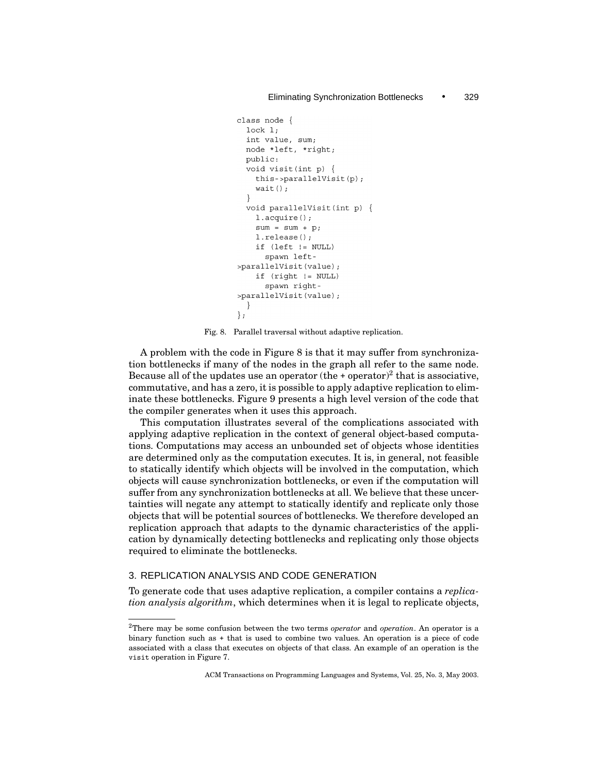```
class node {
  lock 1:int value, sum;
 node *left, *right;
 public:
 void visit (int p) {
    this-parallelVisit(p);
    wait();
  \rightarrowvoid parallelVisit(int p) {
    1.\texttt{acquire}() ;
    sum = sum + p;l. release();
    if (left != NULL)
      spawn left-
>parallelVisit(value);
    if (right != NULL)
      spawn right-
>parallelVisit(value);
  - }
\};
```
Fig. 8. Parallel traversal without adaptive replication.

A problem with the code in Figure 8 is that it may suffer from synchronization bottlenecks if many of the nodes in the graph all refer to the same node. Because all of the updates use an operator (the + operator)<sup>2</sup> that is associative, commutative, and has a zero, it is possible to apply adaptive replication to eliminate these bottlenecks. Figure 9 presents a high level version of the code that the compiler generates when it uses this approach.

This computation illustrates several of the complications associated with applying adaptive replication in the context of general object-based computations. Computations may access an unbounded set of objects whose identities are determined only as the computation executes. It is, in general, not feasible to statically identify which objects will be involved in the computation, which objects will cause synchronization bottlenecks, or even if the computation will suffer from any synchronization bottlenecks at all. We believe that these uncertainties will negate any attempt to statically identify and replicate only those objects that will be potential sources of bottlenecks. We therefore developed an replication approach that adapts to the dynamic characteristics of the application by dynamically detecting bottlenecks and replicating only those objects required to eliminate the bottlenecks.

# 3. REPLICATION ANALYSIS AND CODE GENERATION

To generate code that uses adaptive replication, a compiler contains a *replication analysis algorithm*, which determines when it is legal to replicate objects,

<sup>2</sup>There may be some confusion between the two terms *operator* and *operation*. An operator is a binary function such as + that is used to combine two values. An operation is a piece of code associated with a class that executes on objects of that class. An example of an operation is the visit operation in Figure 7.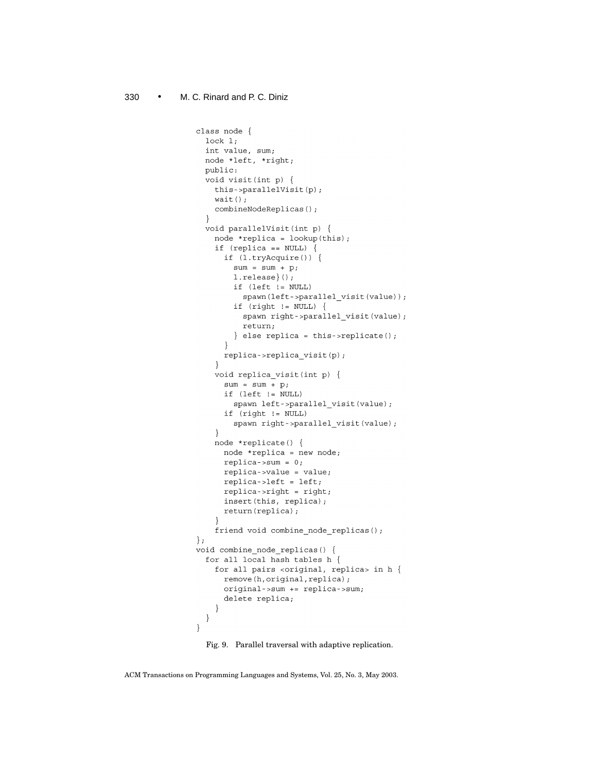```
class node \{lock 1;int value, sum;
  node *left, *right;
  public:
  void visit (int p) {
    this->parallelVisit(p);
    wait();
    combineNodeReplicas();
  \mathcal{E}void parallelVisit(int p) {
    node *replica = lookup(this);if (replied == NULL) {
      if (l.tryAcquire() ) {
        sum = sum + p;1. release\}();
        if (left != NULL)spawn(left->parallel_visit(value));
        if (right != NULL) {
          spawn right->parallel_visit(value);
          return;
        } else replica = this->replicate();
      \rightarrowreplica->replica_visit(p);
    \}void replica_visit(int p) {
      sum = sum + p;if (left != NULL)
        spawn left->parallel_visit(value);
      if (right != NULL)spawn right->parallel_visit(value);
    \{node *replicate() {
      node *replica = new node;
      replica->sum = 0;replica->value = value;replica - \lambda left = left;replica->right = right;insert(this, replica);
      return(replica);
    ₹
    friend void combine_node_replicas();
\};
void combine_node_replicas() {
  for all local hash tables h \{for all pairs <original, replica> in h {
      remove(h, original, replica);
      original->sum += replica->sum;
      delete replica;
    }
  \}\left\{ \right\}Fig. 9. Parallel traversal with adaptive replication.
```
ACM Transactions on Programming Languages and Systems, Vol. 25, No. 3, May 2003.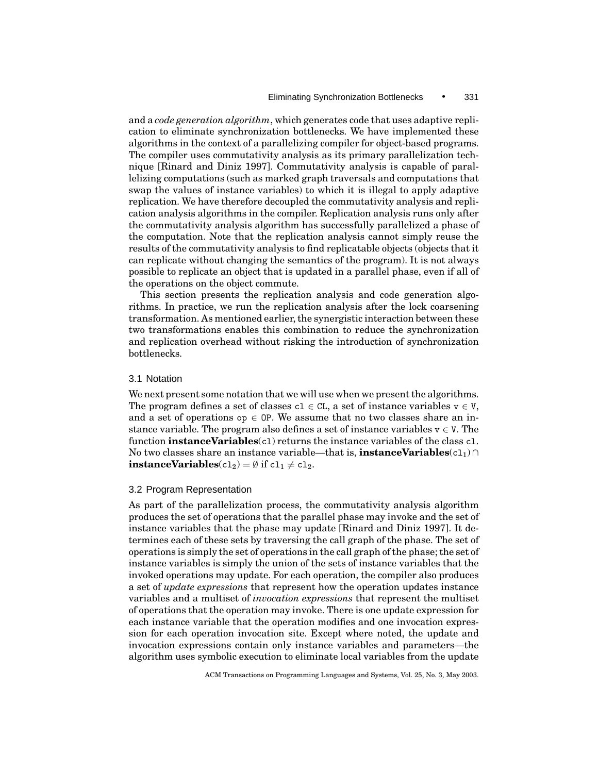and a *code generation algorithm*, which generates code that uses adaptive replication to eliminate synchronization bottlenecks. We have implemented these algorithms in the context of a parallelizing compiler for object-based programs. The compiler uses commutativity analysis as its primary parallelization technique [Rinard and Diniz 1997]. Commutativity analysis is capable of parallelizing computations (such as marked graph traversals and computations that swap the values of instance variables) to which it is illegal to apply adaptive replication. We have therefore decoupled the commutativity analysis and replication analysis algorithms in the compiler. Replication analysis runs only after the commutativity analysis algorithm has successfully parallelized a phase of the computation. Note that the replication analysis cannot simply reuse the results of the commutativity analysis to find replicatable objects (objects that it can replicate without changing the semantics of the program). It is not always possible to replicate an object that is updated in a parallel phase, even if all of the operations on the object commute.

This section presents the replication analysis and code generation algorithms. In practice, we run the replication analysis after the lock coarsening transformation. As mentioned earlier, the synergistic interaction between these two transformations enables this combination to reduce the synchronization and replication overhead without risking the introduction of synchronization bottlenecks.

# 3.1 Notation

We next present some notation that we will use when we present the algorithms. The program defines a set of classes cl  $\in$  CL, a set of instance variables  $v \in V$ , and a set of operations  $op \in OP$ . We assume that no two classes share an instance variable. The program also defines a set of instance variables  $v \in V$ . The function **instanceVariables**(cl) returns the instance variables of the class cl. No two classes share an instance variable—that is, **instanceVariables**(c1<sub>1</sub>) ∩ **instanceVariables**(cl<sub>2</sub>) = Ø if cl<sub>1</sub>  $\neq$  cl<sub>2</sub>.

# 3.2 Program Representation

As part of the parallelization process, the commutativity analysis algorithm produces the set of operations that the parallel phase may invoke and the set of instance variables that the phase may update [Rinard and Diniz 1997]. It determines each of these sets by traversing the call graph of the phase. The set of operations is simply the set of operations in the call graph of the phase; the set of instance variables is simply the union of the sets of instance variables that the invoked operations may update. For each operation, the compiler also produces a set of *update expressions* that represent how the operation updates instance variables and a multiset of *invocation expressions* that represent the multiset of operations that the operation may invoke. There is one update expression for each instance variable that the operation modifies and one invocation expression for each operation invocation site. Except where noted, the update and invocation expressions contain only instance variables and parameters—the algorithm uses symbolic execution to eliminate local variables from the update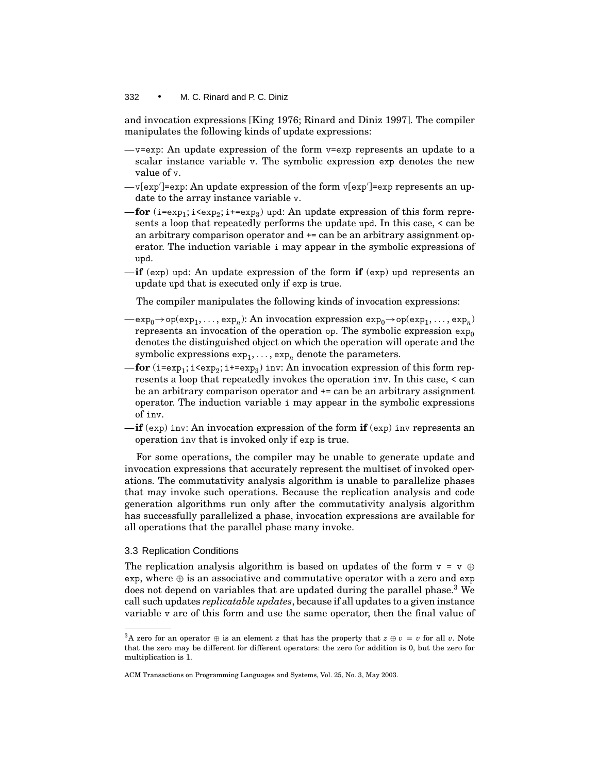and invocation expressions [King 1976; Rinard and Diniz 1997]. The compiler manipulates the following kinds of update expressions:

- $-v=exp$ : An update expression of the form  $v=exp$  represents an update to a scalar instance variable v. The symbolic expression exp denotes the new value of v.
- —v[exp']=exp: An update expression of the form v[exp′]=exp represents an update to the array instance variable v.
- $\text{for}$  (i=exp<sub>1</sub>; i<exp<sub>2</sub>; i+=exp<sub>3</sub>) upd: An update expression of this form represents a loop that repeatedly performs the update upd. In this case, < can be an arbitrary comparison operator and += can be an arbitrary assignment operator. The induction variable i may appear in the symbolic expressions of upd.
- —**if** (exp) upd: An update expression of the form **if** (exp) upd represents an update upd that is executed only if exp is true.

The compiler manipulates the following kinds of invocation expressions:

- $-\exp_0 \to \text{op}(\exp_1, \ldots, \exp_n)$ : An invocation expression  $\exp_0 \to \text{op}(\exp_1, \ldots, \exp_n)$ represents an invocation of the operation op. The symbolic expression  $\exp_0$ denotes the distinguished object on which the operation will operate and the symbolic expressions  $\exp_1, \ldots, \exp_n$  denote the parameters.
- $\text{for}$  (i=exp<sub>1</sub>; i<exp<sub>2</sub>; i+=exp<sub>3</sub>) inv: An invocation expression of this form represents a loop that repeatedly invokes the operation inv. In this case, < can be an arbitrary comparison operator and += can be an arbitrary assignment operator. The induction variable i may appear in the symbolic expressions of inv.
- —**if** (exp) inv: An invocation expression of the form **if** (exp) inv represents an operation inv that is invoked only if exp is true.

For some operations, the compiler may be unable to generate update and invocation expressions that accurately represent the multiset of invoked operations. The commutativity analysis algorithm is unable to parallelize phases that may invoke such operations. Because the replication analysis and code generation algorithms run only after the commutativity analysis algorithm has successfully parallelized a phase, invocation expressions are available for all operations that the parallel phase many invoke.

# 3.3 Replication Conditions

The replication analysis algorithm is based on updates of the form  $v = v \oplus$ exp, where  $\oplus$  is an associative and commutative operator with a zero and exp does not depend on variables that are updated during the parallel phase.<sup>3</sup> We call such updates *replicatable updates*, because if all updates to a given instance variable v are of this form and use the same operator, then the final value of

<sup>&</sup>lt;sup>3</sup>A zero for an operator  $\oplus$  is an element *z* that has the property that  $z \oplus v = v$  for all *v*. Note that the zero may be different for different operators: the zero for addition is 0, but the zero for multiplication is 1.

ACM Transactions on Programming Languages and Systems, Vol. 25, No. 3, May 2003.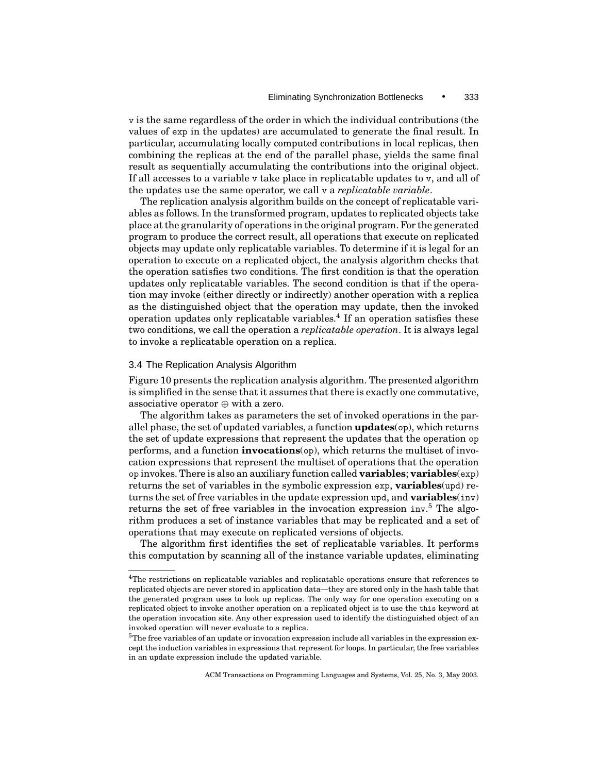v is the same regardless of the order in which the individual contributions (the values of exp in the updates) are accumulated to generate the final result. In particular, accumulating locally computed contributions in local replicas, then combining the replicas at the end of the parallel phase, yields the same final result as sequentially accumulating the contributions into the original object. If all accesses to a variable v take place in replicatable updates to v, and all of the updates use the same operator, we call v a *replicatable variable*.

The replication analysis algorithm builds on the concept of replicatable variables as follows. In the transformed program, updates to replicated objects take place at the granularity of operations in the original program. For the generated program to produce the correct result, all operations that execute on replicated objects may update only replicatable variables. To determine if it is legal for an operation to execute on a replicated object, the analysis algorithm checks that the operation satisfies two conditions. The first condition is that the operation updates only replicatable variables. The second condition is that if the operation may invoke (either directly or indirectly) another operation with a replica as the distinguished object that the operation may update, then the invoked operation updates only replicatable variables.<sup>4</sup> If an operation satisfies these two conditions, we call the operation a *replicatable operation*. It is always legal to invoke a replicatable operation on a replica.

# 3.4 The Replication Analysis Algorithm

Figure 10 presents the replication analysis algorithm. The presented algorithm is simplified in the sense that it assumes that there is exactly one commutative, associative operator  $oplus$  with a zero.

The algorithm takes as parameters the set of invoked operations in the parallel phase, the set of updated variables, a function **updates**(op), which returns the set of update expressions that represent the updates that the operation op performs, and a function **invocations**(op), which returns the multiset of invocation expressions that represent the multiset of operations that the operation op invokes. There is also an auxiliary function called **variables**; **variables**(exp) returns the set of variables in the symbolic expression exp, **variables**(upd) returns the set of free variables in the update expression upd, and **variables**(inv) returns the set of free variables in the invocation expression inv. <sup>5</sup> The algorithm produces a set of instance variables that may be replicated and a set of operations that may execute on replicated versions of objects.

The algorithm first identifies the set of replicatable variables. It performs this computation by scanning all of the instance variable updates, eliminating

<sup>4</sup>The restrictions on replicatable variables and replicatable operations ensure that references to replicated objects are never stored in application data—they are stored only in the hash table that the generated program uses to look up replicas. The only way for one operation executing on a replicated object to invoke another operation on a replicated object is to use the this keyword at the operation invocation site. Any other expression used to identify the distinguished object of an invoked operation will never evaluate to a replica.

<sup>5</sup>The free variables of an update or invocation expression include all variables in the expression except the induction variables in expressions that represent for loops. In particular, the free variables in an update expression include the updated variable.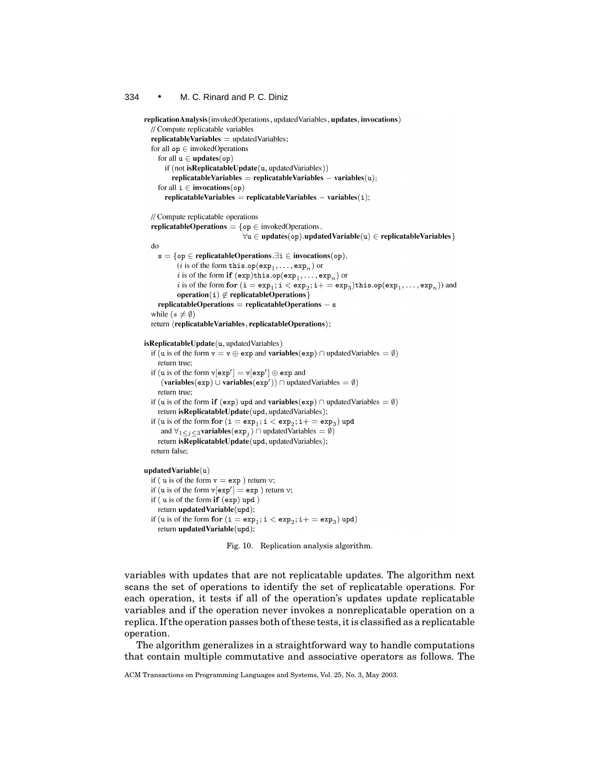```
replicationAnalysis(invokedOperations, updatedVariables, updates, invocations)
  // Compute replicatable variables
  replicatable Variables = updatedVariables;for all op \in invokedOperations
     for all u \in \text{update}(\text{op})if (not isReplicatableUpdate(u, updatedVariables))
          replicatableVariables = replicatableVariables - variables(u);
     for all i \in invocations(op)
       replicatableVariables = replicatableVariables - variables(i);
  // Compute replicatable operations
  replicatableOperations = {op \in invokedOperations.
                                   \forall u \in \text{update}(\text{op}).\text{updatedVariable}(u) \in \text{replicatableVariables}\}do
     s = \{ op \in replicatableOperations. \exists i \in invocations (op).(i is of the form this.op(exp_1, ..., exp_n) or
           i is of the form if (\exp)this.op(\exp_1, \ldots, \exp_n) or
           is of the form for (i = exp_1; i < exp_2; i += exp_3) this op(exp_1, ..., exp_n) and
           operation(i) \notin replicableOperations\}replicatableOperations = replicatableOperations - s
  while (s \neq \emptyset)return (replicatableVariables, replicatableOperations);
isReplicatableUpdate(u, updatedVariables)
  if (u is of the form v = v \oplus exp and variables(exp) \cap updated Variables = \emptyset)
     return true;
  if (u is of the form v[exp'] = v[exp'] \oplus exp and
     (\textbf{variables}(\texttt{exp}) \cup \texttt{variables}(\texttt{exp}')) \cap \texttt{updatedVariables} = \emptyset)return true:
  if (u is of the form if (exp) upd and variables(exp) \cap updated Variables = \emptyset)
    return isReplicatableUpdate(upd, updatedVariables);
  if (u is of the form for (i = exp_1; i < exp_2; i += exp_3) upd
     and \forall_1 < j < j variables (\exp_j) \cap updated Variables = \emptyset)
     return isReplicatableUpdate(upd, updatedVariables);
  return false;
update dVariable(u)if ( {\tt u} is of the form {\tt v}={\tt exp} ) return {\tt v};if (u is of the form v[exp'] = exp) return v;
  if (u is of the form if (exp) upd )return updatedVariable(upd);
  \text{if }(\mathtt{u} \text{ is of the form } \mathtt{for}\ (\mathtt{i} = \mathtt{exp}_1; \mathtt{i} < \mathtt{exp}_2; \mathtt{i} += \mathtt{exp}_3)\ \mathtt{upd})\\return updatedVariable(upd);
```


variables with updates that are not replicatable updates. The algorithm next scans the set of operations to identify the set of replicatable operations. For each operation, it tests if all of the operation's updates update replicatable variables and if the operation never invokes a nonreplicatable operation on a replica. If the operation passes both of these tests, it is classified as a replicatable operation.

The algorithm generalizes in a straightforward way to handle computations that contain multiple commutative and associative operators as follows. The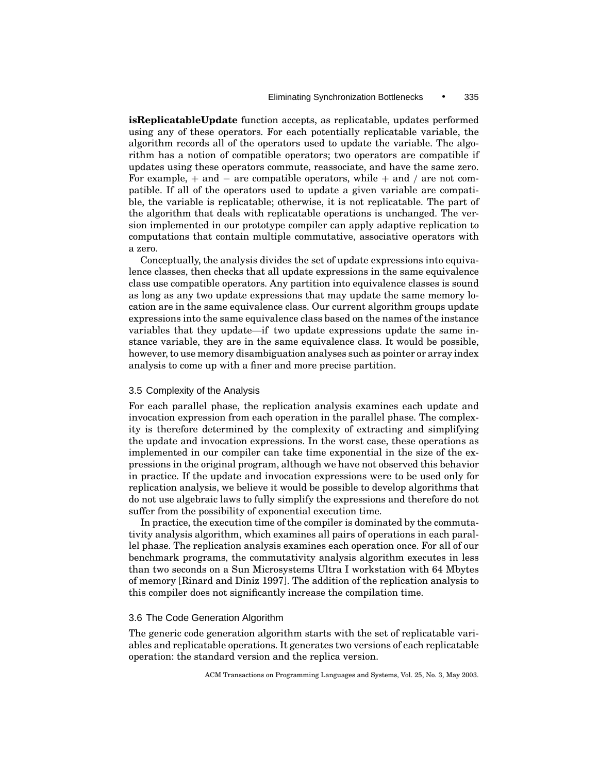**isReplicatableUpdate** function accepts, as replicatable, updates performed using any of these operators. For each potentially replicatable variable, the algorithm records all of the operators used to update the variable. The algorithm has a notion of compatible operators; two operators are compatible if updates using these operators commute, reassociate, and have the same zero. For example,  $+$  and  $-$  are compatible operators, while  $+$  and  $/$  are not compatible. If all of the operators used to update a given variable are compatible, the variable is replicatable; otherwise, it is not replicatable. The part of the algorithm that deals with replicatable operations is unchanged. The version implemented in our prototype compiler can apply adaptive replication to computations that contain multiple commutative, associative operators with a zero.

Conceptually, the analysis divides the set of update expressions into equivalence classes, then checks that all update expressions in the same equivalence class use compatible operators. Any partition into equivalence classes is sound as long as any two update expressions that may update the same memory location are in the same equivalence class. Our current algorithm groups update expressions into the same equivalence class based on the names of the instance variables that they update—if two update expressions update the same instance variable, they are in the same equivalence class. It would be possible, however, to use memory disambiguation analyses such as pointer or array index analysis to come up with a finer and more precise partition.

## 3.5 Complexity of the Analysis

For each parallel phase, the replication analysis examines each update and invocation expression from each operation in the parallel phase. The complexity is therefore determined by the complexity of extracting and simplifying the update and invocation expressions. In the worst case, these operations as implemented in our compiler can take time exponential in the size of the expressions in the original program, although we have not observed this behavior in practice. If the update and invocation expressions were to be used only for replication analysis, we believe it would be possible to develop algorithms that do not use algebraic laws to fully simplify the expressions and therefore do not suffer from the possibility of exponential execution time.

In practice, the execution time of the compiler is dominated by the commutativity analysis algorithm, which examines all pairs of operations in each parallel phase. The replication analysis examines each operation once. For all of our benchmark programs, the commutativity analysis algorithm executes in less than two seconds on a Sun Microsystems Ultra I workstation with 64 Mbytes of memory [Rinard and Diniz 1997]. The addition of the replication analysis to this compiler does not significantly increase the compilation time.

## 3.6 The Code Generation Algorithm

The generic code generation algorithm starts with the set of replicatable variables and replicatable operations. It generates two versions of each replicatable operation: the standard version and the replica version.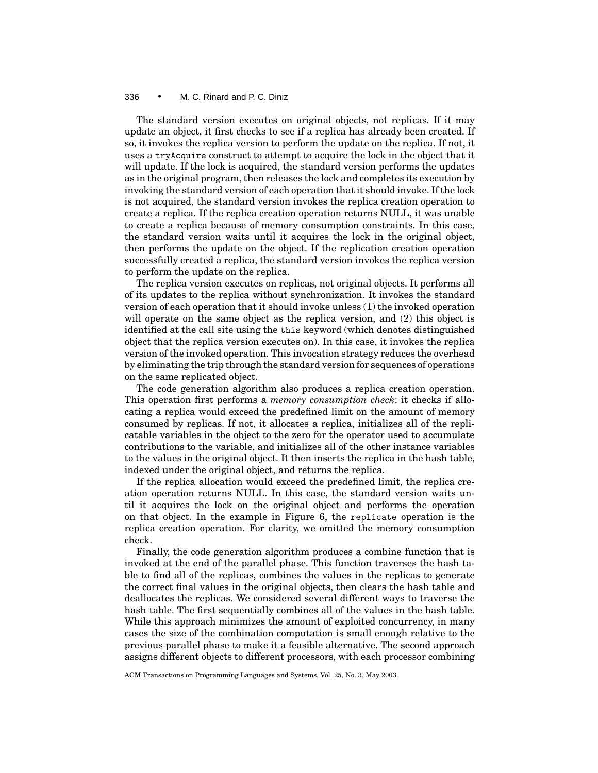The standard version executes on original objects, not replicas. If it may update an object, it first checks to see if a replica has already been created. If so, it invokes the replica version to perform the update on the replica. If not, it uses a tryAcquire construct to attempt to acquire the lock in the object that it will update. If the lock is acquired, the standard version performs the updates as in the original program, then releases the lock and completes its execution by invoking the standard version of each operation that it should invoke. If the lock is not acquired, the standard version invokes the replica creation operation to create a replica. If the replica creation operation returns NULL, it was unable to create a replica because of memory consumption constraints. In this case, the standard version waits until it acquires the lock in the original object, then performs the update on the object. If the replication creation operation successfully created a replica, the standard version invokes the replica version to perform the update on the replica.

The replica version executes on replicas, not original objects. It performs all of its updates to the replica without synchronization. It invokes the standard version of each operation that it should invoke unless (1) the invoked operation will operate on the same object as the replica version, and (2) this object is identified at the call site using the this keyword (which denotes distinguished object that the replica version executes on). In this case, it invokes the replica version of the invoked operation. This invocation strategy reduces the overhead by eliminating the trip through the standard version for sequences of operations on the same replicated object.

The code generation algorithm also produces a replica creation operation. This operation first performs a *memory consumption check*: it checks if allocating a replica would exceed the predefined limit on the amount of memory consumed by replicas. If not, it allocates a replica, initializes all of the replicatable variables in the object to the zero for the operator used to accumulate contributions to the variable, and initializes all of the other instance variables to the values in the original object. It then inserts the replica in the hash table, indexed under the original object, and returns the replica.

If the replica allocation would exceed the predefined limit, the replica creation operation returns NULL. In this case, the standard version waits until it acquires the lock on the original object and performs the operation on that object. In the example in Figure 6, the replicate operation is the replica creation operation. For clarity, we omitted the memory consumption check.

Finally, the code generation algorithm produces a combine function that is invoked at the end of the parallel phase. This function traverses the hash table to find all of the replicas, combines the values in the replicas to generate the correct final values in the original objects, then clears the hash table and deallocates the replicas. We considered several different ways to traverse the hash table. The first sequentially combines all of the values in the hash table. While this approach minimizes the amount of exploited concurrency, in many cases the size of the combination computation is small enough relative to the previous parallel phase to make it a feasible alternative. The second approach assigns different objects to different processors, with each processor combining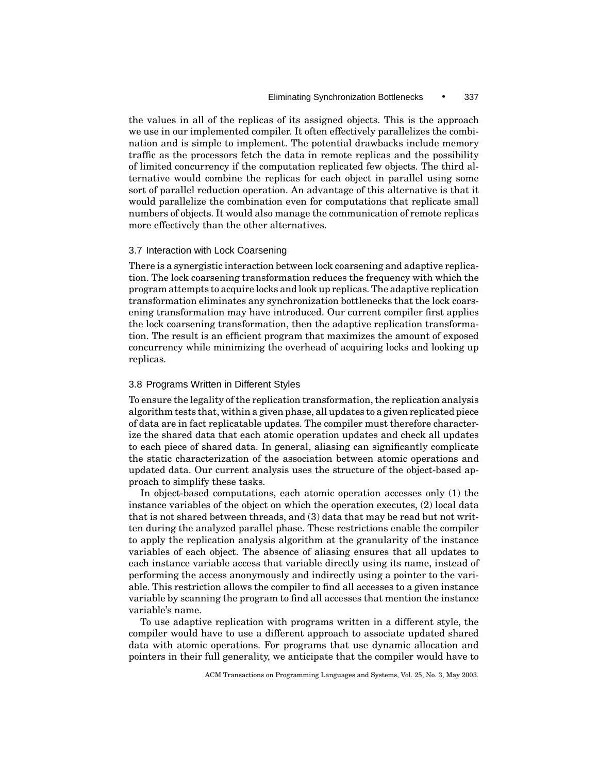the values in all of the replicas of its assigned objects. This is the approach we use in our implemented compiler. It often effectively parallelizes the combination and is simple to implement. The potential drawbacks include memory traffic as the processors fetch the data in remote replicas and the possibility of limited concurrency if the computation replicated few objects. The third alternative would combine the replicas for each object in parallel using some sort of parallel reduction operation. An advantage of this alternative is that it would parallelize the combination even for computations that replicate small numbers of objects. It would also manage the communication of remote replicas more effectively than the other alternatives.

#### 3.7 Interaction with Lock Coarsening

There is a synergistic interaction between lock coarsening and adaptive replication. The lock coarsening transformation reduces the frequency with which the program attempts to acquire locks and look up replicas. The adaptive replication transformation eliminates any synchronization bottlenecks that the lock coarsening transformation may have introduced. Our current compiler first applies the lock coarsening transformation, then the adaptive replication transformation. The result is an efficient program that maximizes the amount of exposed concurrency while minimizing the overhead of acquiring locks and looking up replicas.

#### 3.8 Programs Written in Different Styles

To ensure the legality of the replication transformation, the replication analysis algorithm tests that, within a given phase, all updates to a given replicated piece of data are in fact replicatable updates. The compiler must therefore characterize the shared data that each atomic operation updates and check all updates to each piece of shared data. In general, aliasing can significantly complicate the static characterization of the association between atomic operations and updated data. Our current analysis uses the structure of the object-based approach to simplify these tasks.

In object-based computations, each atomic operation accesses only (1) the instance variables of the object on which the operation executes, (2) local data that is not shared between threads, and (3) data that may be read but not written during the analyzed parallel phase. These restrictions enable the compiler to apply the replication analysis algorithm at the granularity of the instance variables of each object. The absence of aliasing ensures that all updates to each instance variable access that variable directly using its name, instead of performing the access anonymously and indirectly using a pointer to the variable. This restriction allows the compiler to find all accesses to a given instance variable by scanning the program to find all accesses that mention the instance variable's name.

To use adaptive replication with programs written in a different style, the compiler would have to use a different approach to associate updated shared data with atomic operations. For programs that use dynamic allocation and pointers in their full generality, we anticipate that the compiler would have to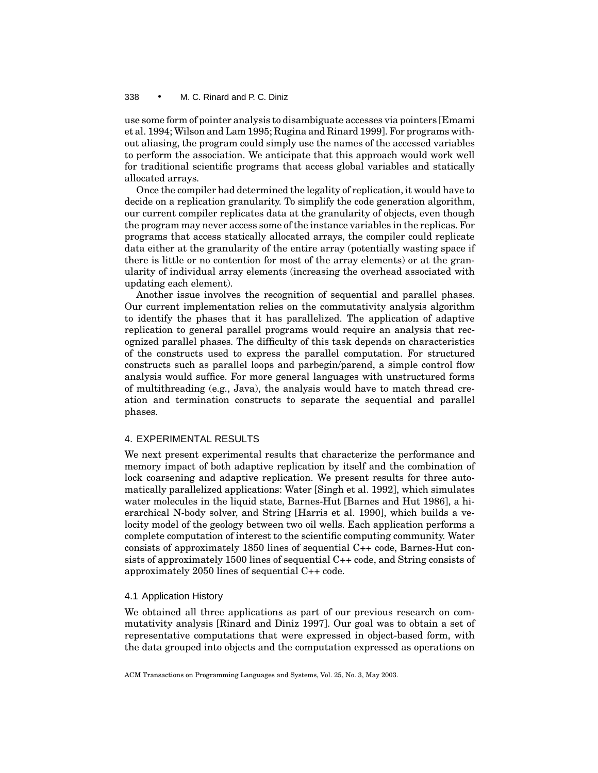use some form of pointer analysis to disambiguate accesses via pointers [Emami et al. 1994; Wilson and Lam 1995; Rugina and Rinard 1999]. For programs without aliasing, the program could simply use the names of the accessed variables to perform the association. We anticipate that this approach would work well for traditional scientific programs that access global variables and statically allocated arrays.

Once the compiler had determined the legality of replication, it would have to decide on a replication granularity. To simplify the code generation algorithm, our current compiler replicates data at the granularity of objects, even though the program may never access some of the instance variables in the replicas. For programs that access statically allocated arrays, the compiler could replicate data either at the granularity of the entire array (potentially wasting space if there is little or no contention for most of the array elements) or at the granularity of individual array elements (increasing the overhead associated with updating each element).

Another issue involves the recognition of sequential and parallel phases. Our current implementation relies on the commutativity analysis algorithm to identify the phases that it has parallelized. The application of adaptive replication to general parallel programs would require an analysis that recognized parallel phases. The difficulty of this task depends on characteristics of the constructs used to express the parallel computation. For structured constructs such as parallel loops and parbegin/parend, a simple control flow analysis would suffice. For more general languages with unstructured forms of multithreading (e.g., Java), the analysis would have to match thread creation and termination constructs to separate the sequential and parallel phases.

# 4. EXPERIMENTAL RESULTS

We next present experimental results that characterize the performance and memory impact of both adaptive replication by itself and the combination of lock coarsening and adaptive replication. We present results for three automatically parallelized applications: Water [Singh et al. 1992], which simulates water molecules in the liquid state, Barnes-Hut [Barnes and Hut 1986], a hierarchical N-body solver, and String [Harris et al. 1990], which builds a velocity model of the geology between two oil wells. Each application performs a complete computation of interest to the scientific computing community. Water consists of approximately 1850 lines of sequential C++ code, Barnes-Hut consists of approximately 1500 lines of sequential C++ code, and String consists of approximately 2050 lines of sequential C++ code.

# 4.1 Application History

We obtained all three applications as part of our previous research on commutativity analysis [Rinard and Diniz 1997]. Our goal was to obtain a set of representative computations that were expressed in object-based form, with the data grouped into objects and the computation expressed as operations on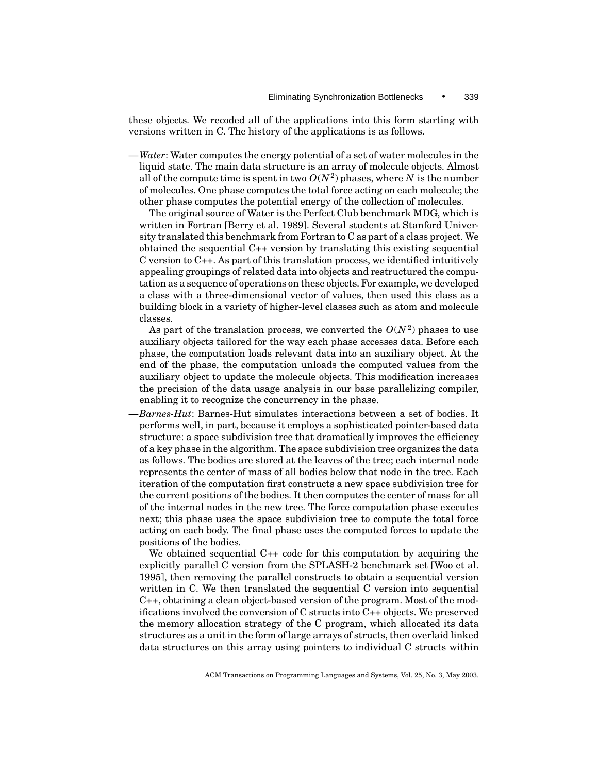these objects. We recoded all of the applications into this form starting with versions written in C. The history of the applications is as follows.

—*Water*: Water computes the energy potential of a set of water molecules in the liquid state. The main data structure is an array of molecule objects. Almost all of the compute time is spent in two  $O(N^2)$  phases, where N is the number of molecules. One phase computes the total force acting on each molecule; the other phase computes the potential energy of the collection of molecules.

The original source of Water is the Perfect Club benchmark MDG, which is written in Fortran [Berry et al. 1989]. Several students at Stanford University translated this benchmark from Fortran to C as part of a class project. We obtained the sequential C++ version by translating this existing sequential C version to C++. As part of this translation process, we identified intuitively appealing groupings of related data into objects and restructured the computation as a sequence of operations on these objects. For example, we developed a class with a three-dimensional vector of values, then used this class as a building block in a variety of higher-level classes such as atom and molecule classes.

As part of the translation process, we converted the  $O(N^2)$  phases to use auxiliary objects tailored for the way each phase accesses data. Before each phase, the computation loads relevant data into an auxiliary object. At the end of the phase, the computation unloads the computed values from the auxiliary object to update the molecule objects. This modification increases the precision of the data usage analysis in our base parallelizing compiler, enabling it to recognize the concurrency in the phase.

—*Barnes-Hut*: Barnes-Hut simulates interactions between a set of bodies. It performs well, in part, because it employs a sophisticated pointer-based data structure: a space subdivision tree that dramatically improves the efficiency of a key phase in the algorithm. The space subdivision tree organizes the data as follows. The bodies are stored at the leaves of the tree; each internal node represents the center of mass of all bodies below that node in the tree. Each iteration of the computation first constructs a new space subdivision tree for the current positions of the bodies. It then computes the center of mass for all of the internal nodes in the new tree. The force computation phase executes next; this phase uses the space subdivision tree to compute the total force acting on each body. The final phase uses the computed forces to update the positions of the bodies.

We obtained sequential C<sub>++</sub> code for this computation by acquiring the explicitly parallel C version from the SPLASH-2 benchmark set [Woo et al. 1995], then removing the parallel constructs to obtain a sequential version written in C. We then translated the sequential C version into sequential C++, obtaining a clean object-based version of the program. Most of the modifications involved the conversion of C structs into C++ objects. We preserved the memory allocation strategy of the C program, which allocated its data structures as a unit in the form of large arrays of structs, then overlaid linked data structures on this array using pointers to individual C structs within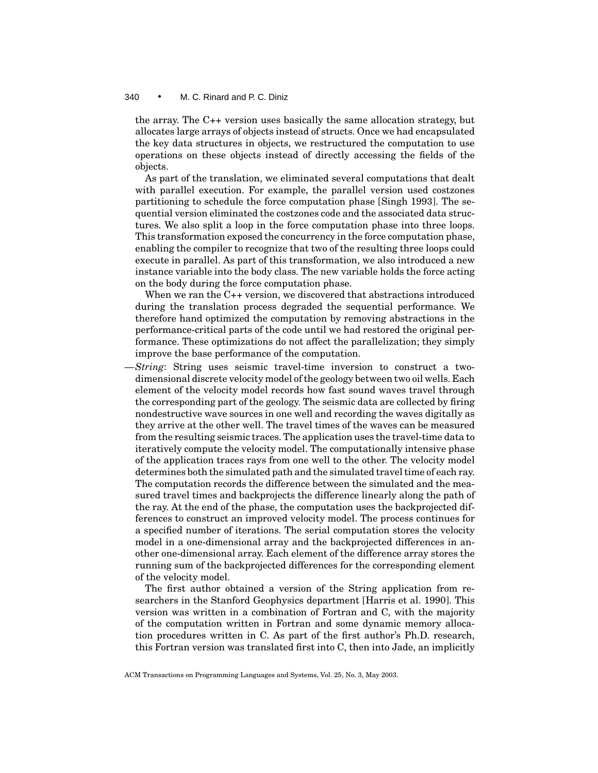the array. The C++ version uses basically the same allocation strategy, but allocates large arrays of objects instead of structs. Once we had encapsulated the key data structures in objects, we restructured the computation to use operations on these objects instead of directly accessing the fields of the objects.

As part of the translation, we eliminated several computations that dealt with parallel execution. For example, the parallel version used costzones partitioning to schedule the force computation phase [Singh 1993]. The sequential version eliminated the costzones code and the associated data structures. We also split a loop in the force computation phase into three loops. This transformation exposed the concurrency in the force computation phase, enabling the compiler to recognize that two of the resulting three loops could execute in parallel. As part of this transformation, we also introduced a new instance variable into the body class. The new variable holds the force acting on the body during the force computation phase.

When we ran the C++ version, we discovered that abstractions introduced during the translation process degraded the sequential performance. We therefore hand optimized the computation by removing abstractions in the performance-critical parts of the code until we had restored the original performance. These optimizations do not affect the parallelization; they simply improve the base performance of the computation.

—*String*: String uses seismic travel-time inversion to construct a twodimensional discrete velocity model of the geology between two oil wells. Each element of the velocity model records how fast sound waves travel through the corresponding part of the geology. The seismic data are collected by firing nondestructive wave sources in one well and recording the waves digitally as they arrive at the other well. The travel times of the waves can be measured from the resulting seismic traces. The application uses the travel-time data to iteratively compute the velocity model. The computationally intensive phase of the application traces rays from one well to the other. The velocity model determines both the simulated path and the simulated travel time of each ray. The computation records the difference between the simulated and the measured travel times and backprojects the difference linearly along the path of the ray. At the end of the phase, the computation uses the backprojected differences to construct an improved velocity model. The process continues for a specified number of iterations. The serial computation stores the velocity model in a one-dimensional array and the backprojected differences in another one-dimensional array. Each element of the difference array stores the running sum of the backprojected differences for the corresponding element of the velocity model.

The first author obtained a version of the String application from researchers in the Stanford Geophysics department [Harris et al. 1990]. This version was written in a combination of Fortran and C, with the majority of the computation written in Fortran and some dynamic memory allocation procedures written in C. As part of the first author's Ph.D. research, this Fortran version was translated first into C, then into Jade, an implicitly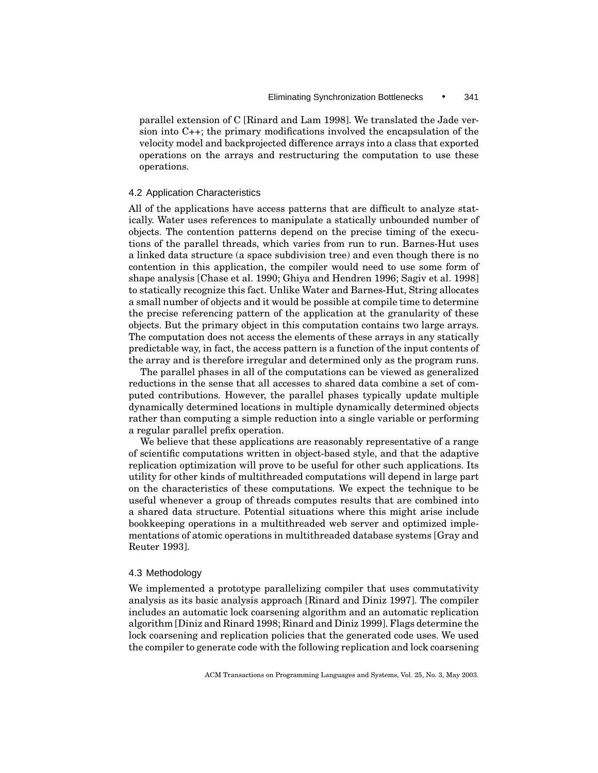parallel extension of C [Rinard and Lam 1998]. We translated the Jade version into C++; the primary modifications involved the encapsulation of the velocity model and backprojected difference arrays into a class that exported operations on the arrays and restructuring the computation to use these operations.

### 4.2 Application Characteristics

All of the applications have access patterns that are difficult to analyze statically. Water uses references to manipulate a statically unbounded number of objects. The contention patterns depend on the precise timing of the executions of the parallel threads, which varies from run to run. Barnes-Hut uses a linked data structure (a space subdivision tree) and even though there is no contention in this application, the compiler would need to use some form of shape analysis [Chase et al. 1990; Ghiya and Hendren 1996; Sagiv et al. 1998] to statically recognize this fact. Unlike Water and Barnes-Hut, String allocates a small number of objects and it would be possible at compile time to determine the precise referencing pattern of the application at the granularity of these objects. But the primary object in this computation contains two large arrays. The computation does not access the elements of these arrays in any statically predictable way, in fact, the access pattern is a function of the input contents of the array and is therefore irregular and determined only as the program runs.

The parallel phases in all of the computations can be viewed as generalized reductions in the sense that all accesses to shared data combine a set of computed contributions. However, the parallel phases typically update multiple dynamically determined locations in multiple dynamically determined objects rather than computing a simple reduction into a single variable or performing a regular parallel prefix operation.

We believe that these applications are reasonably representative of a range of scientific computations written in object-based style, and that the adaptive replication optimization will prove to be useful for other such applications. Its utility for other kinds of multithreaded computations will depend in large part on the characteristics of these computations. We expect the technique to be useful whenever a group of threads computes results that are combined into a shared data structure. Potential situations where this might arise include bookkeeping operations in a multithreaded web server and optimized implementations of atomic operations in multithreaded database systems [Gray and Reuter 1993].

## 4.3 Methodology

We implemented a prototype parallelizing compiler that uses commutativity analysis as its basic analysis approach [Rinard and Diniz 1997]. The compiler includes an automatic lock coarsening algorithm and an automatic replication algorithm [Diniz and Rinard 1998; Rinard and Diniz 1999]. Flags determine the lock coarsening and replication policies that the generated code uses. We used the compiler to generate code with the following replication and lock coarsening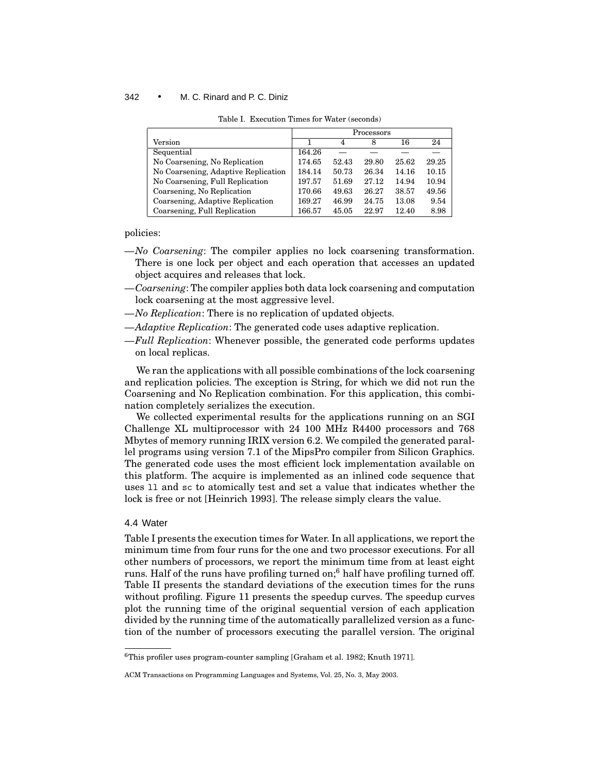|                                     | Processors |       |       |       |       |  |
|-------------------------------------|------------|-------|-------|-------|-------|--|
| $\rm Version$                       |            |       |       | 16    | 24    |  |
| Sequential                          | 164.26     |       |       |       |       |  |
| No Coarsening, No Replication       | 174.65     | 52.43 | 29.80 | 25.62 | 29.25 |  |
| No Coarsening, Adaptive Replication | 184.14     | 50.73 | 26.34 | 14.16 | 10.15 |  |
| No Coarsening, Full Replication     | 197.57     | 51.69 | 27.12 | 14.94 | 10.94 |  |
| Coarsening, No Replication          | 170.66     | 49.63 | 26.27 | 38.57 | 49.56 |  |
| Coarsening, Adaptive Replication    | 169.27     | 46.99 | 24.75 | 13.08 | 9.54  |  |
| Coarsening, Full Replication        | 166.57     | 45.05 | 22.97 | 12.40 | 8.98  |  |

Table I. Execution Times for Water (seconds)

policies:

- —*No Coarsening*: The compiler applies no lock coarsening transformation. There is one lock per object and each operation that accesses an updated object acquires and releases that lock.
- —*Coarsening*: The compiler applies both data lock coarsening and computation lock coarsening at the most aggressive level.
- —*No Replication*: There is no replication of updated objects.
- —*Adaptive Replication*: The generated code uses adaptive replication.
- —*Full Replication*: Whenever possible, the generated code performs updates on local replicas.

We ran the applications with all possible combinations of the lock coarsening and replication policies. The exception is String, for which we did not run the Coarsening and No Replication combination. For this application, this combination completely serializes the execution.

We collected experimental results for the applications running on an SGI Challenge XL multiprocessor with 24 100 MHz R4400 processors and 768 Mbytes of memory running IRIX version 6.2. We compiled the generated parallel programs using version 7.1 of the MipsPro compiler from Silicon Graphics. The generated code uses the most efficient lock implementation available on this platform. The acquire is implemented as an inlined code sequence that uses ll and sc to atomically test and set a value that indicates whether the lock is free or not [Heinrich 1993]. The release simply clears the value.

# 4.4 Water

Table I presents the execution times for Water. In all applications, we report the minimum time from four runs for the one and two processor executions. For all other numbers of processors, we report the minimum time from at least eight runs. Half of the runs have profiling turned on;<sup>6</sup> half have profiling turned off. Table II presents the standard deviations of the execution times for the runs without profiling. Figure 11 presents the speedup curves. The speedup curves plot the running time of the original sequential version of each application divided by the running time of the automatically parallelized version as a function of the number of processors executing the parallel version. The original

<sup>6</sup>This profiler uses program-counter sampling [Graham et al. 1982; Knuth 1971].

ACM Transactions on Programming Languages and Systems, Vol. 25, No. 3, May 2003.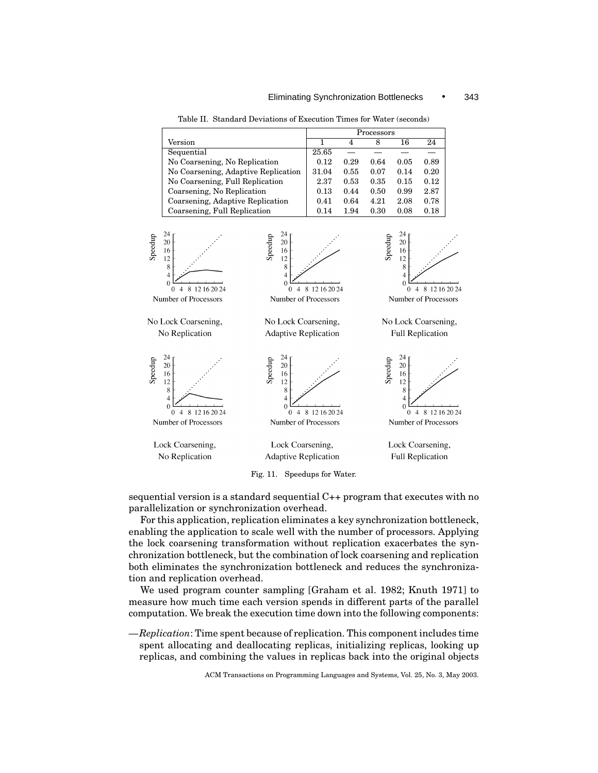#### Eliminating Synchronization Bottlenecks • 343

|                                     | Processors |      |      |      |      |
|-------------------------------------|------------|------|------|------|------|
| Version                             |            |      |      | 16   | 24   |
| Sequential                          | 25.65      |      |      |      |      |
| No Coarsening, No Replication       | 0.12       | 0.29 | 0.64 | 0.05 | 0.89 |
| No Coarsening, Adaptive Replication | 31.04      | 0.55 | 0.07 | 0.14 | 0.20 |
| No Coarsening, Full Replication     | 2.37       | 0.53 | 0.35 | 0.15 | 0.12 |
| Coarsening, No Replication          | 0.13       | 0.44 | 0.50 | 0.99 | 2.87 |
| Coarsening, Adaptive Replication    | 0.41       | 0.64 | 4.21 | 2.08 | 0.78 |
| Coarsening, Full Replication        | 0.14       | 1.94 | 0.30 | 0.08 | 0.18 |

Table II. Standard Deviations of Execution Times for Water (seconds)



sequential version is a standard sequential C++ program that executes with no parallelization or synchronization overhead.

For this application, replication eliminates a key synchronization bottleneck, enabling the application to scale well with the number of processors. Applying the lock coarsening transformation without replication exacerbates the synchronization bottleneck, but the combination of lock coarsening and replication both eliminates the synchronization bottleneck and reduces the synchronization and replication overhead.

We used program counter sampling [Graham et al. 1982; Knuth 1971] to measure how much time each version spends in different parts of the parallel computation. We break the execution time down into the following components:

—*Replication*: Time spent because of replication. This component includes time spent allocating and deallocating replicas, initializing replicas, looking up replicas, and combining the values in replicas back into the original objects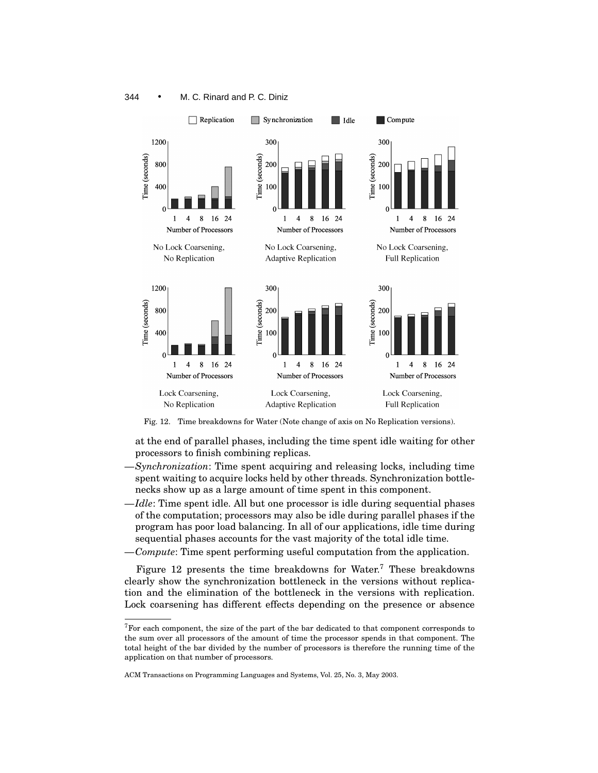

Fig. 12. Time breakdowns for Water (Note change of axis on No Replication versions).

at the end of parallel phases, including the time spent idle waiting for other processors to finish combining replicas.

- —*Synchronization*: Time spent acquiring and releasing locks, including time spent waiting to acquire locks held by other threads. Synchronization bottlenecks show up as a large amount of time spent in this component.
- —*Idle*: Time spent idle. All but one processor is idle during sequential phases of the computation; processors may also be idle during parallel phases if the program has poor load balancing. In all of our applications, idle time during sequential phases accounts for the vast majority of the total idle time.
- —*Compute*: Time spent performing useful computation from the application.

Figure 12 presents the time breakdowns for Water.7 These breakdowns clearly show the synchronization bottleneck in the versions without replication and the elimination of the bottleneck in the versions with replication. Lock coarsening has different effects depending on the presence or absence

 ${\rm ^7}$  For each component, the size of the part of the bar dedicated to that component corresponds to the sum over all processors of the amount of time the processor spends in that component. The total height of the bar divided by the number of processors is therefore the running time of the application on that number of processors.

ACM Transactions on Programming Languages and Systems, Vol. 25, No. 3, May 2003.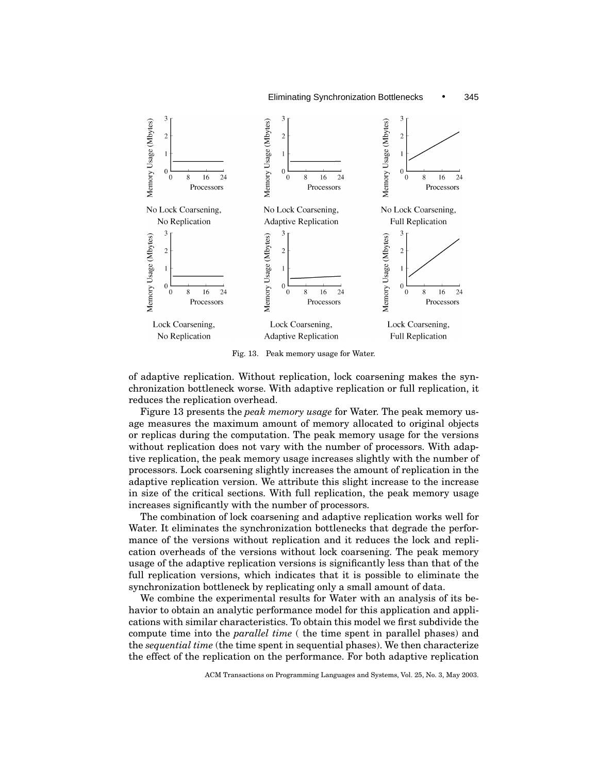

Fig. 13. Peak memory usage for Water.

of adaptive replication. Without replication, lock coarsening makes the synchronization bottleneck worse. With adaptive replication or full replication, it reduces the replication overhead.

Figure 13 presents the *peak memory usage* for Water. The peak memory usage measures the maximum amount of memory allocated to original objects or replicas during the computation. The peak memory usage for the versions without replication does not vary with the number of processors. With adaptive replication, the peak memory usage increases slightly with the number of processors. Lock coarsening slightly increases the amount of replication in the adaptive replication version. We attribute this slight increase to the increase in size of the critical sections. With full replication, the peak memory usage increases significantly with the number of processors.

The combination of lock coarsening and adaptive replication works well for Water. It eliminates the synchronization bottlenecks that degrade the performance of the versions without replication and it reduces the lock and replication overheads of the versions without lock coarsening. The peak memory usage of the adaptive replication versions is significantly less than that of the full replication versions, which indicates that it is possible to eliminate the synchronization bottleneck by replicating only a small amount of data.

We combine the experimental results for Water with an analysis of its behavior to obtain an analytic performance model for this application and applications with similar characteristics. To obtain this model we first subdivide the compute time into the *parallel time* ( the time spent in parallel phases) and the *sequential time* (the time spent in sequential phases). We then characterize the effect of the replication on the performance. For both adaptive replication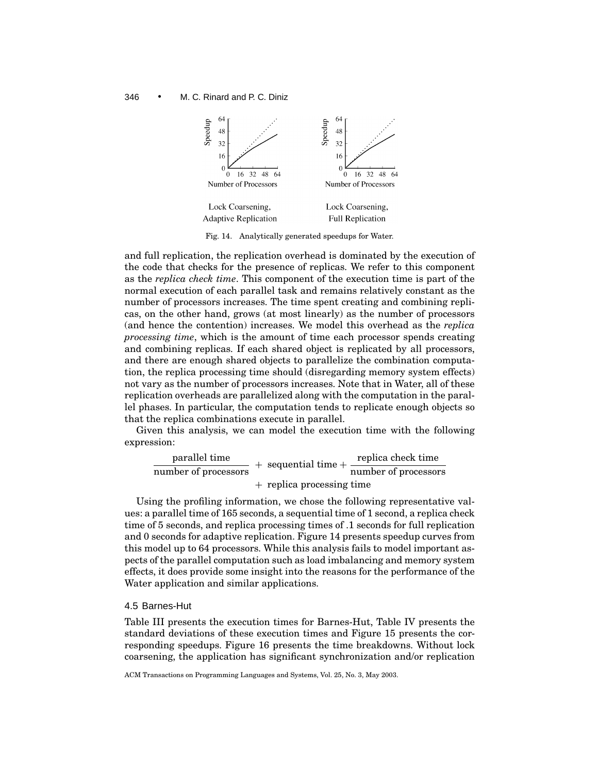

Fig. 14. Analytically generated speedups for Water.

and full replication, the replication overhead is dominated by the execution of the code that checks for the presence of replicas. We refer to this component as the *replica check time*. This component of the execution time is part of the normal execution of each parallel task and remains relatively constant as the number of processors increases. The time spent creating and combining replicas, on the other hand, grows (at most linearly) as the number of processors (and hence the contention) increases. We model this overhead as the *replica processing time*, which is the amount of time each processor spends creating and combining replicas. If each shared object is replicated by all processors, and there are enough shared objects to parallelize the combination computation, the replica processing time should (disregarding memory system effects) not vary as the number of processors increases. Note that in Water, all of these replication overheads are parallelized along with the computation in the parallel phases. In particular, the computation tends to replicate enough objects so that the replica combinations execute in parallel.

Given this analysis, we can model the execution time with the following expression:

$$
\frac{\text{parallel time}}{\text{number of processors}} + \text{sequential time} + \frac{\text{replica check time}}{\text{number of processors}} \\ + \text{replica processing time}
$$

Using the profiling information, we chose the following representative values: a parallel time of 165 seconds, a sequential time of 1 second, a replica check time of 5 seconds, and replica processing times of .1 seconds for full replication and 0 seconds for adaptive replication. Figure 14 presents speedup curves from this model up to 64 processors. While this analysis fails to model important aspects of the parallel computation such as load imbalancing and memory system effects, it does provide some insight into the reasons for the performance of the Water application and similar applications.

# 4.5 Barnes-Hut

Table III presents the execution times for Barnes-Hut, Table IV presents the standard deviations of these execution times and Figure 15 presents the corresponding speedups. Figure 16 presents the time breakdowns. Without lock coarsening, the application has significant synchronization and/or replication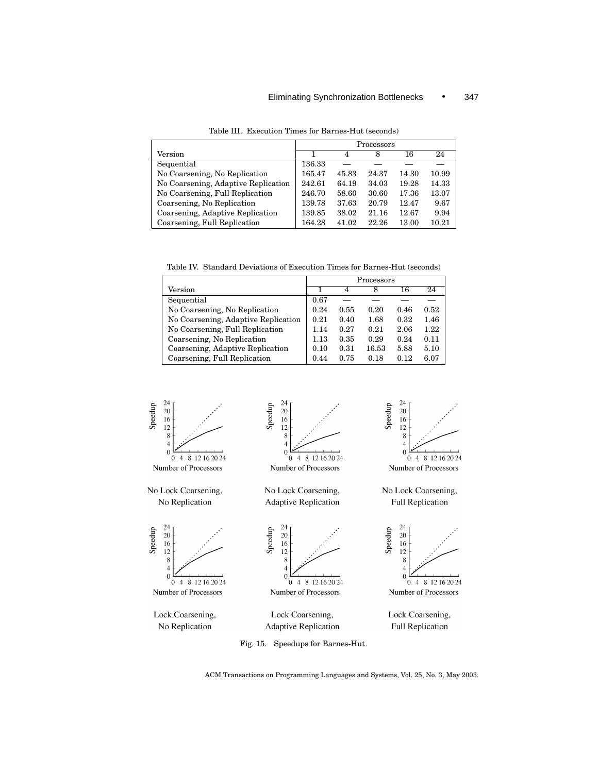|                                     | Processors |       |       |       |       |  |
|-------------------------------------|------------|-------|-------|-------|-------|--|
| Version                             |            |       | 8     | 16    | 24    |  |
| Sequential                          | 136.33     |       |       |       |       |  |
| No Coarsening, No Replication       | 165.47     | 45.83 | 24.37 | 14.30 | 10.99 |  |
| No Coarsening, Adaptive Replication | 242.61     | 64.19 | 34.03 | 19.28 | 14.33 |  |
| No Coarsening, Full Replication     | 246.70     | 58.60 | 30.60 | 17.36 | 13.07 |  |
| Coarsening, No Replication          | 139.78     | 37.63 | 20.79 | 12.47 | 9.67  |  |
| Coarsening, Adaptive Replication    | 139.85     | 38.02 | 21.16 | 12.67 | 9.94  |  |
| Coarsening, Full Replication        | 164.28     | 41.02 | 22.26 | 13.00 | 10.21 |  |

Table III. Execution Times for Barnes-Hut (seconds)

Table IV. Standard Deviations of Execution Times for Barnes-Hut (seconds)

|                                     | Processors |      |       |      |      |
|-------------------------------------|------------|------|-------|------|------|
| Version                             |            |      | 8     | 16   | 24   |
| Sequential                          | 0.67       |      |       |      |      |
| No Coarsening, No Replication       | 0.24       | 0.55 | 0.20  | 0.46 | 0.52 |
| No Coarsening, Adaptive Replication | 0.21       | 0.40 | 1.68  | 0.32 | 1.46 |
| No Coarsening, Full Replication     | 1.14       | 0.27 | 0.21  | 2.06 | 1.22 |
| Coarsening, No Replication          | 1.13       | 0.35 | 0.29  | 0.24 | 0.11 |
| Coarsening, Adaptive Replication    | 0.10       | 0.31 | 16.53 | 5.88 | 5.10 |
| Coarsening, Full Replication        | 0.44       | 0.75 | 0.18  | 0.12 | 6.07 |



ACM Transactions on Programming Languages and Systems, Vol. 25, No. 3, May 2003.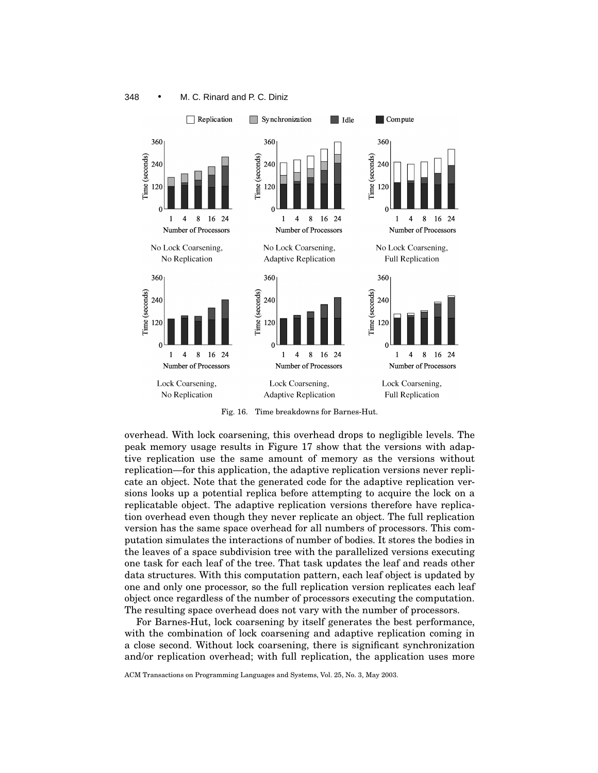

Fig. 16. Time breakdowns for Barnes-Hut.

overhead. With lock coarsening, this overhead drops to negligible levels. The peak memory usage results in Figure 17 show that the versions with adaptive replication use the same amount of memory as the versions without replication—for this application, the adaptive replication versions never replicate an object. Note that the generated code for the adaptive replication versions looks up a potential replica before attempting to acquire the lock on a replicatable object. The adaptive replication versions therefore have replication overhead even though they never replicate an object. The full replication version has the same space overhead for all numbers of processors. This computation simulates the interactions of number of bodies. It stores the bodies in the leaves of a space subdivision tree with the parallelized versions executing one task for each leaf of the tree. That task updates the leaf and reads other data structures. With this computation pattern, each leaf object is updated by one and only one processor, so the full replication version replicates each leaf object once regardless of the number of processors executing the computation. The resulting space overhead does not vary with the number of processors.

For Barnes-Hut, lock coarsening by itself generates the best performance, with the combination of lock coarsening and adaptive replication coming in a close second. Without lock coarsening, there is significant synchronization and/or replication overhead; with full replication, the application uses more

348 • M. C. Rinard and P. C. Diniz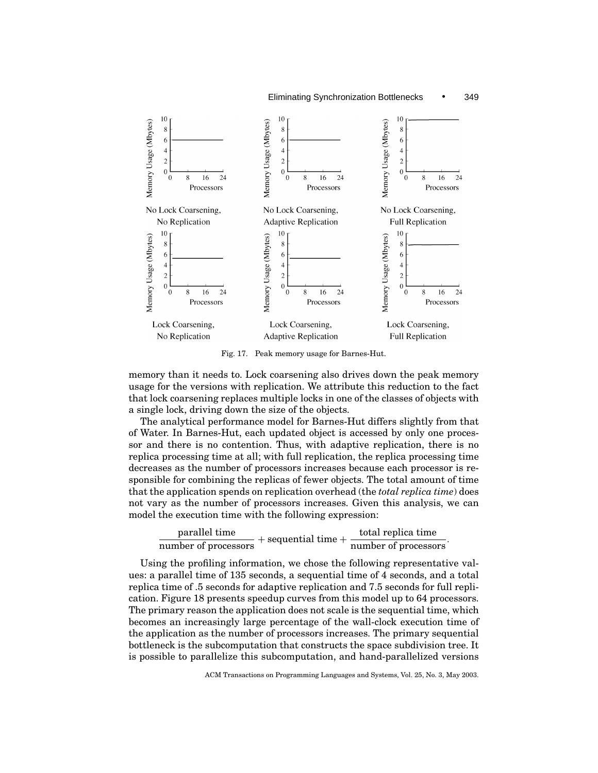

Fig. 17. Peak memory usage for Barnes-Hut.

memory than it needs to. Lock coarsening also drives down the peak memory usage for the versions with replication. We attribute this reduction to the fact that lock coarsening replaces multiple locks in one of the classes of objects with a single lock, driving down the size of the objects.

The analytical performance model for Barnes-Hut differs slightly from that of Water. In Barnes-Hut, each updated object is accessed by only one processor and there is no contention. Thus, with adaptive replication, there is no replica processing time at all; with full replication, the replica processing time decreases as the number of processors increases because each processor is responsible for combining the replicas of fewer objects. The total amount of time that the application spends on replication overhead (the *total replica time*) does not vary as the number of processors increases. Given this analysis, we can model the execution time with the following expression:

| parallel time        | $+$ sequential time - | total replica time   |
|----------------------|-----------------------|----------------------|
| number of processors |                       | number of processors |

Using the profiling information, we chose the following representative values: a parallel time of 135 seconds, a sequential time of 4 seconds, and a total replica time of .5 seconds for adaptive replication and 7.5 seconds for full replication. Figure 18 presents speedup curves from this model up to 64 processors. The primary reason the application does not scale is the sequential time, which becomes an increasingly large percentage of the wall-clock execution time of the application as the number of processors increases. The primary sequential bottleneck is the subcomputation that constructs the space subdivision tree. It is possible to parallelize this subcomputation, and hand-parallelized versions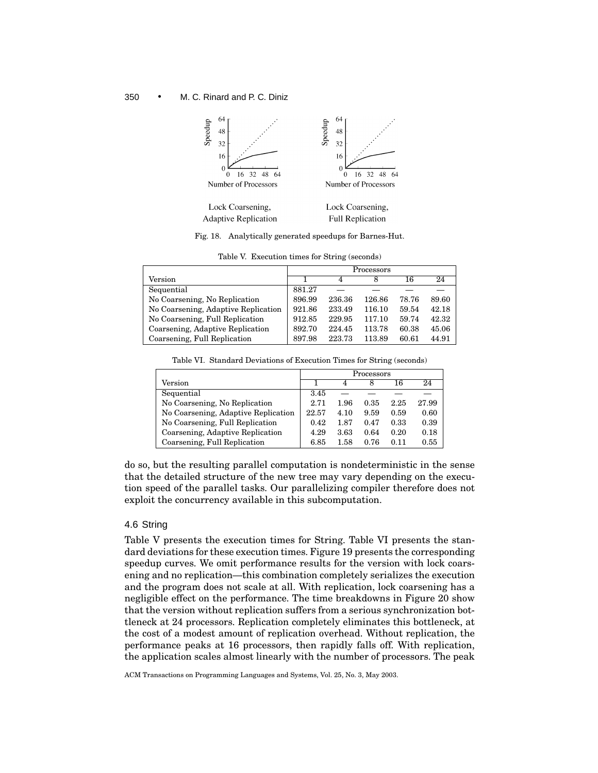

Fig. 18. Analytically generated speedups for Barnes-Hut.

|                                     | Processors |        |        |       |       |  |
|-------------------------------------|------------|--------|--------|-------|-------|--|
| Version                             |            |        | 8      | 16    | 24    |  |
| Sequential                          | 881.27     |        |        |       |       |  |
| No Coarsening, No Replication       | 896.99     | 236.36 | 126.86 | 78.76 | 89.60 |  |
| No Coarsening, Adaptive Replication | 921.86     | 233.49 | 116.10 | 59.54 | 42.18 |  |
| No Coarsening, Full Replication     | 912.85     | 229.95 | 117.10 | 59.74 | 42.32 |  |
| Coarsening, Adaptive Replication    | 892.70     | 224.45 | 113.78 | 60.38 | 45.06 |  |
| Coarsening, Full Replication        | 897.98     | 223.73 | 113.89 | 60.61 | 44.91 |  |

Table V. Execution times for String (seconds)

|                                     | Processors |      |      |      |       |
|-------------------------------------|------------|------|------|------|-------|
| $\rm Version$                       |            |      |      | 16   | 94    |
| Sequential                          | 3.45       |      |      |      |       |
| No Coarsening, No Replication       | 2.71       | 1.96 | 0.35 | 2.25 | 27.99 |
| No Coarsening, Adaptive Replication | 22.57      | 4.10 | 9.59 | 0.59 | 0.60  |
| No Coarsening, Full Replication     | 0.42       | 1.87 | 0.47 | 0.33 | 0.39  |
| Coarsening, Adaptive Replication    | 4.29       | 3.63 | 0.64 | 0.20 | 0.18  |
| Coarsening, Full Replication        | 6.85       | 1.58 | 0.76 | 0.11 | 0.55  |

Table VI. Standard Deviations of Execution Times for String (seconds)

do so, but the resulting parallel computation is nondeterministic in the sense that the detailed structure of the new tree may vary depending on the execution speed of the parallel tasks. Our parallelizing compiler therefore does not exploit the concurrency available in this subcomputation.

# 4.6 String

Table V presents the execution times for String. Table VI presents the standard deviations for these execution times. Figure 19 presents the corresponding speedup curves. We omit performance results for the version with lock coarsening and no replication—this combination completely serializes the execution and the program does not scale at all. With replication, lock coarsening has a negligible effect on the performance. The time breakdowns in Figure 20 show that the version without replication suffers from a serious synchronization bottleneck at 24 processors. Replication completely eliminates this bottleneck, at the cost of a modest amount of replication overhead. Without replication, the performance peaks at 16 processors, then rapidly falls off. With replication, the application scales almost linearly with the number of processors. The peak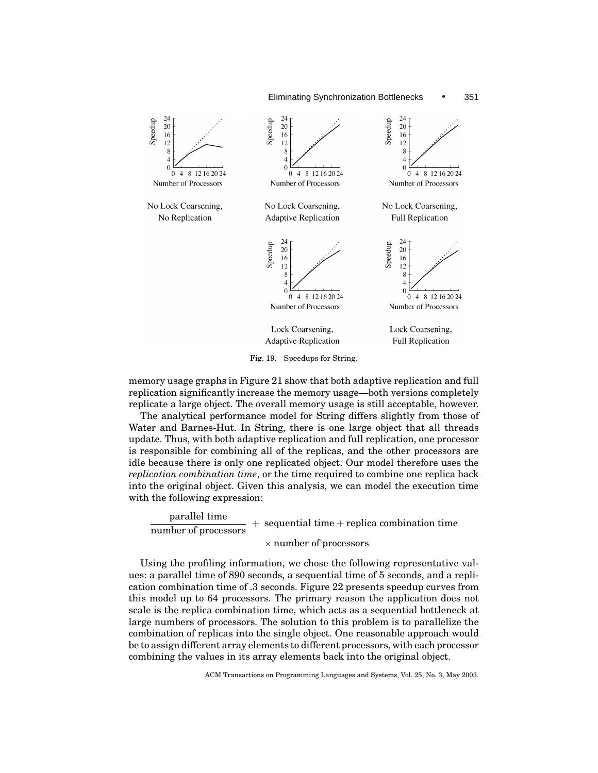#### Eliminating Synchronization Bottlenecks • 351



memory usage graphs in Figure 21 show that both adaptive replication and full replication significantly increase the memory usage—both versions completely replicate a large object. The overall memory usage is still acceptable, however.

The analytical performance model for String differs slightly from those of Water and Barnes-Hut. In String, there is one large object that all threads update. Thus, with both adaptive replication and full replication, one processor is responsible for combining all of the replicas, and the other processors are idle because there is only one replicated object. Our model therefore uses the *replication combination time*, or the time required to combine one replica back into the original object. Given this analysis, we can model the execution time with the following expression:

parallel time  $\frac{\text{parameter time}}{\text{number of processors}}$  + sequential time + replica combination time

 $\times$  number of processors

Using the profiling information, we chose the following representative values: a parallel time of 890 seconds, a sequential time of 5 seconds, and a replication combination time of .3 seconds. Figure 22 presents speedup curves from this model up to 64 processors. The primary reason the application does not scale is the replica combination time, which acts as a sequential bottleneck at large numbers of processors. The solution to this problem is to parallelize the combination of replicas into the single object. One reasonable approach would be to assign different array elements to different processors, with each processor combining the values in its array elements back into the original object.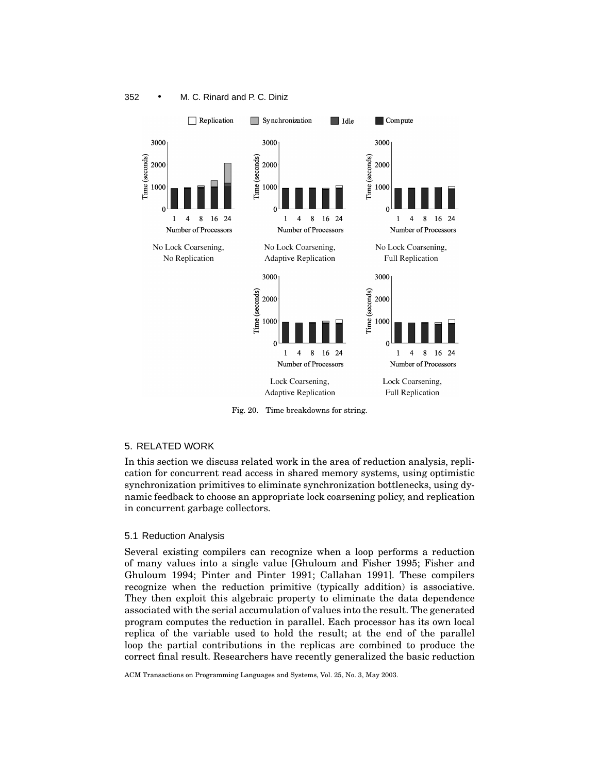

Fig. 20. Time breakdowns for string.

# 5. RELATED WORK

352 • M. C. Rinard and P. C. Diniz

In this section we discuss related work in the area of reduction analysis, replication for concurrent read access in shared memory systems, using optimistic synchronization primitives to eliminate synchronization bottlenecks, using dynamic feedback to choose an appropriate lock coarsening policy, and replication in concurrent garbage collectors.

# 5.1 Reduction Analysis

Several existing compilers can recognize when a loop performs a reduction of many values into a single value [Ghuloum and Fisher 1995; Fisher and Ghuloum 1994; Pinter and Pinter 1991; Callahan 1991]. These compilers recognize when the reduction primitive (typically addition) is associative. They then exploit this algebraic property to eliminate the data dependence associated with the serial accumulation of values into the result. The generated program computes the reduction in parallel. Each processor has its own local replica of the variable used to hold the result; at the end of the parallel loop the partial contributions in the replicas are combined to produce the correct final result. Researchers have recently generalized the basic reduction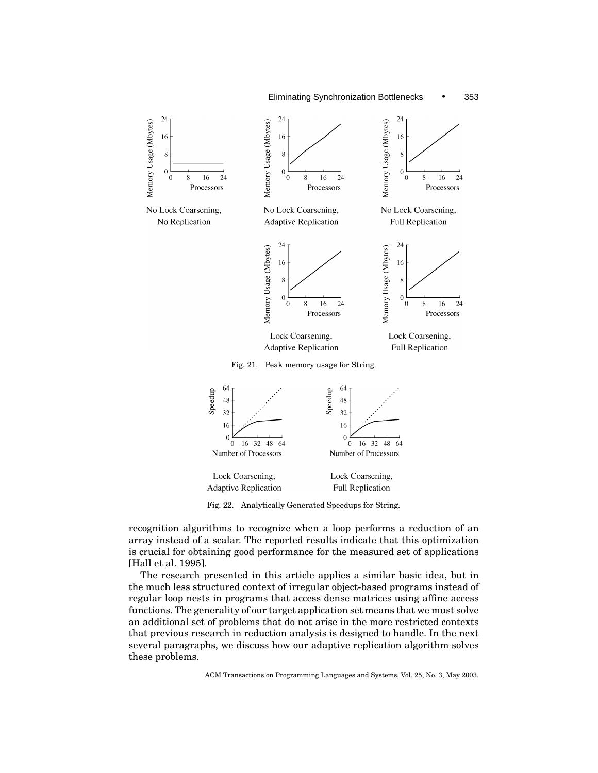



Fig. 22. Analytically Generated Speedups for String.

recognition algorithms to recognize when a loop performs a reduction of an array instead of a scalar. The reported results indicate that this optimization is crucial for obtaining good performance for the measured set of applications [Hall et al. 1995].

The research presented in this article applies a similar basic idea, but in the much less structured context of irregular object-based programs instead of regular loop nests in programs that access dense matrices using affine access functions. The generality of our target application set means that we must solve an additional set of problems that do not arise in the more restricted contexts that previous research in reduction analysis is designed to handle. In the next several paragraphs, we discuss how our adaptive replication algorithm solves these problems.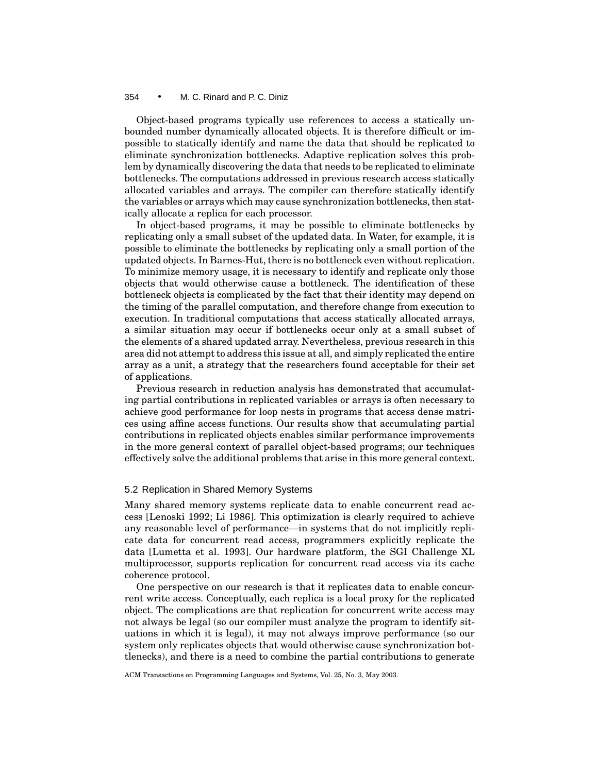Object-based programs typically use references to access a statically unbounded number dynamically allocated objects. It is therefore difficult or impossible to statically identify and name the data that should be replicated to eliminate synchronization bottlenecks. Adaptive replication solves this problem by dynamically discovering the data that needs to be replicated to eliminate bottlenecks. The computations addressed in previous research access statically allocated variables and arrays. The compiler can therefore statically identify the variables or arrays which may cause synchronization bottlenecks, then statically allocate a replica for each processor.

In object-based programs, it may be possible to eliminate bottlenecks by replicating only a small subset of the updated data. In Water, for example, it is possible to eliminate the bottlenecks by replicating only a small portion of the updated objects. In Barnes-Hut, there is no bottleneck even without replication. To minimize memory usage, it is necessary to identify and replicate only those objects that would otherwise cause a bottleneck. The identification of these bottleneck objects is complicated by the fact that their identity may depend on the timing of the parallel computation, and therefore change from execution to execution. In traditional computations that access statically allocated arrays, a similar situation may occur if bottlenecks occur only at a small subset of the elements of a shared updated array. Nevertheless, previous research in this area did not attempt to address this issue at all, and simply replicated the entire array as a unit, a strategy that the researchers found acceptable for their set of applications.

Previous research in reduction analysis has demonstrated that accumulating partial contributions in replicated variables or arrays is often necessary to achieve good performance for loop nests in programs that access dense matrices using affine access functions. Our results show that accumulating partial contributions in replicated objects enables similar performance improvements in the more general context of parallel object-based programs; our techniques effectively solve the additional problems that arise in this more general context.

#### 5.2 Replication in Shared Memory Systems

Many shared memory systems replicate data to enable concurrent read access [Lenoski 1992; Li 1986]. This optimization is clearly required to achieve any reasonable level of performance—in systems that do not implicitly replicate data for concurrent read access, programmers explicitly replicate the data [Lumetta et al. 1993]. Our hardware platform, the SGI Challenge XL multiprocessor, supports replication for concurrent read access via its cache coherence protocol.

One perspective on our research is that it replicates data to enable concurrent write access. Conceptually, each replica is a local proxy for the replicated object. The complications are that replication for concurrent write access may not always be legal (so our compiler must analyze the program to identify situations in which it is legal), it may not always improve performance (so our system only replicates objects that would otherwise cause synchronization bottlenecks), and there is a need to combine the partial contributions to generate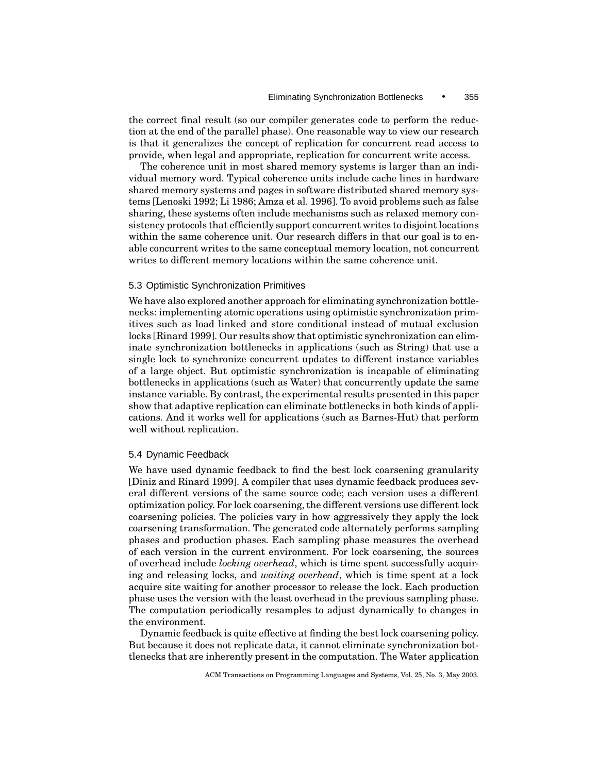the correct final result (so our compiler generates code to perform the reduction at the end of the parallel phase). One reasonable way to view our research is that it generalizes the concept of replication for concurrent read access to provide, when legal and appropriate, replication for concurrent write access.

The coherence unit in most shared memory systems is larger than an individual memory word. Typical coherence units include cache lines in hardware shared memory systems and pages in software distributed shared memory systems [Lenoski 1992; Li 1986; Amza et al. 1996]. To avoid problems such as false sharing, these systems often include mechanisms such as relaxed memory consistency protocols that efficiently support concurrent writes to disjoint locations within the same coherence unit. Our research differs in that our goal is to enable concurrent writes to the same conceptual memory location, not concurrent writes to different memory locations within the same coherence unit.

## 5.3 Optimistic Synchronization Primitives

We have also explored another approach for eliminating synchronization bottlenecks: implementing atomic operations using optimistic synchronization primitives such as load linked and store conditional instead of mutual exclusion locks [Rinard 1999]. Our results show that optimistic synchronization can eliminate synchronization bottlenecks in applications (such as String) that use a single lock to synchronize concurrent updates to different instance variables of a large object. But optimistic synchronization is incapable of eliminating bottlenecks in applications (such as Water) that concurrently update the same instance variable. By contrast, the experimental results presented in this paper show that adaptive replication can eliminate bottlenecks in both kinds of applications. And it works well for applications (such as Barnes-Hut) that perform well without replication.

#### 5.4 Dynamic Feedback

We have used dynamic feedback to find the best lock coarsening granularity [Diniz and Rinard 1999]. A compiler that uses dynamic feedback produces several different versions of the same source code; each version uses a different optimization policy. For lock coarsening, the different versions use different lock coarsening policies. The policies vary in how aggressively they apply the lock coarsening transformation. The generated code alternately performs sampling phases and production phases. Each sampling phase measures the overhead of each version in the current environment. For lock coarsening, the sources of overhead include *locking overhead*, which is time spent successfully acquiring and releasing locks, and *waiting overhead*, which is time spent at a lock acquire site waiting for another processor to release the lock. Each production phase uses the version with the least overhead in the previous sampling phase. The computation periodically resamples to adjust dynamically to changes in the environment.

Dynamic feedback is quite effective at finding the best lock coarsening policy. But because it does not replicate data, it cannot eliminate synchronization bottlenecks that are inherently present in the computation. The Water application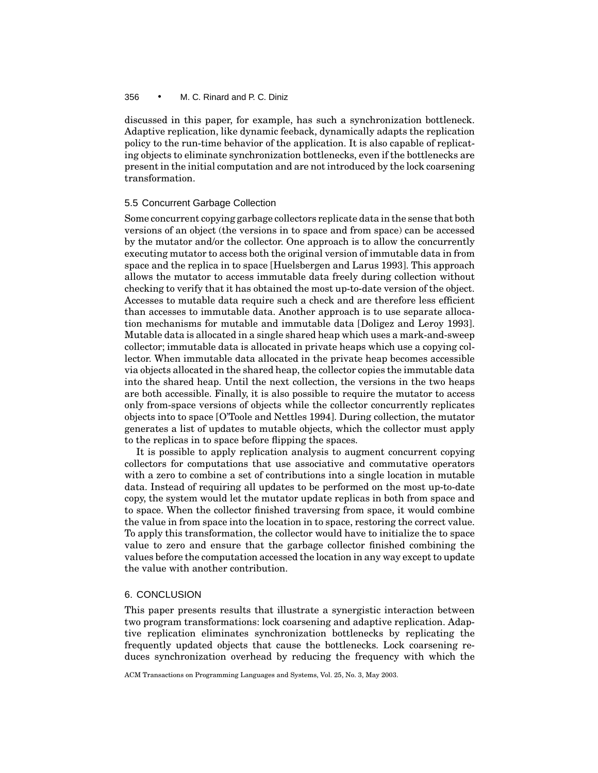discussed in this paper, for example, has such a synchronization bottleneck. Adaptive replication, like dynamic feeback, dynamically adapts the replication policy to the run-time behavior of the application. It is also capable of replicating objects to eliminate synchronization bottlenecks, even if the bottlenecks are present in the initial computation and are not introduced by the lock coarsening transformation.

#### 5.5 Concurrent Garbage Collection

Some concurrent copying garbage collectors replicate data in the sense that both versions of an object (the versions in to space and from space) can be accessed by the mutator and/or the collector. One approach is to allow the concurrently executing mutator to access both the original version of immutable data in from space and the replica in to space [Huelsbergen and Larus 1993]. This approach allows the mutator to access immutable data freely during collection without checking to verify that it has obtained the most up-to-date version of the object. Accesses to mutable data require such a check and are therefore less efficient than accesses to immutable data. Another approach is to use separate allocation mechanisms for mutable and immutable data [Doligez and Leroy 1993]. Mutable data is allocated in a single shared heap which uses a mark-and-sweep collector; immutable data is allocated in private heaps which use a copying collector. When immutable data allocated in the private heap becomes accessible via objects allocated in the shared heap, the collector copies the immutable data into the shared heap. Until the next collection, the versions in the two heaps are both accessible. Finally, it is also possible to require the mutator to access only from-space versions of objects while the collector concurrently replicates objects into to space [O'Toole and Nettles 1994]. During collection, the mutator generates a list of updates to mutable objects, which the collector must apply to the replicas in to space before flipping the spaces.

It is possible to apply replication analysis to augment concurrent copying collectors for computations that use associative and commutative operators with a zero to combine a set of contributions into a single location in mutable data. Instead of requiring all updates to be performed on the most up-to-date copy, the system would let the mutator update replicas in both from space and to space. When the collector finished traversing from space, it would combine the value in from space into the location in to space, restoring the correct value. To apply this transformation, the collector would have to initialize the to space value to zero and ensure that the garbage collector finished combining the values before the computation accessed the location in any way except to update the value with another contribution.

# 6. CONCLUSION

This paper presents results that illustrate a synergistic interaction between two program transformations: lock coarsening and adaptive replication. Adaptive replication eliminates synchronization bottlenecks by replicating the frequently updated objects that cause the bottlenecks. Lock coarsening reduces synchronization overhead by reducing the frequency with which the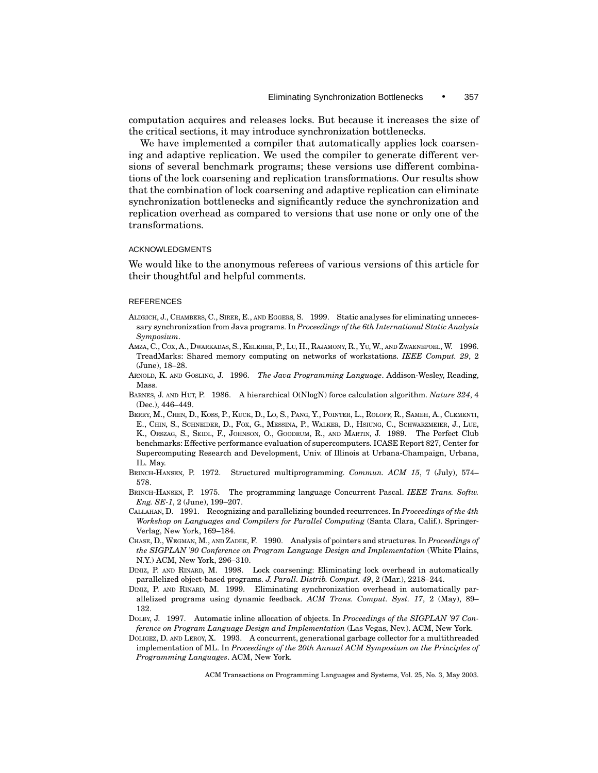computation acquires and releases locks. But because it increases the size of the critical sections, it may introduce synchronization bottlenecks.

We have implemented a compiler that automatically applies lock coarsening and adaptive replication. We used the compiler to generate different versions of several benchmark programs; these versions use different combinations of the lock coarsening and replication transformations. Our results show that the combination of lock coarsening and adaptive replication can eliminate synchronization bottlenecks and significantly reduce the synchronization and replication overhead as compared to versions that use none or only one of the transformations.

#### ACKNOWLEDGMENTS

We would like to the anonymous referees of various versions of this article for their thoughtful and helpful comments.

### REFERENCES

- ALDRICH, J., CHAMBERS, C., SIRER, E., AND EGGERS, S. 1999. Static analyses for eliminating unnecessary synchronization from Java programs. In *Proceedings of the 6th International Static Analysis Symposium*.
- AMZA, C., COX, A., DWARKADAS, S., KELEHER, P., LU, H., RAJAMONY, R., YU, W., AND ZWAENEPOEL, W. 1996. TreadMarks: Shared memory computing on networks of workstations. *IEEE Comput. 29*, 2 (June), 18–28.
- ARNOLD, K. AND GOSLING, J. 1996. *The Java Programming Language*. Addison-Wesley, Reading, Mass.
- BARNES, J. AND HUT, P. 1986. A hierarchical O(NlogN) force calculation algorithm. *Nature 324*, 4 (Dec.), 446–449.
- BERRY, M., CHEN, D., KOSS, P., KUCK, D., LO, S., PANG, Y., POINTER, L., ROLOFF, R., SAMEH, A., CLEMENTI, E., CHIN, S., SCHNEIDER, D., FOX, G., MESSINA, P., WALKER, D., HSIUNG, C., SCHWARZMEIER, J., LUE, K., ORSZAG, S., SEIDL, F., JOHNSON, O., GOODRUM, R., AND MARTIN, J. 1989. The Perfect Club benchmarks: Effective performance evaluation of supercomputers. ICASE Report 827, Center for Supercomputing Research and Development, Univ. of Illinois at Urbana-Champaign, Urbana, IL. May.
- BRINCH-HANSEN, P. 1972. Structured multiprogramming. *Commun. ACM 15*, 7 (July), 574– 578.
- BRINCH-HANSEN, P. 1975. The programming language Concurrent Pascal. *IEEE Trans. Softw. Eng. SE-1*, 2 (June), 199–207.
- CALLAHAN, D. 1991. Recognizing and parallelizing bounded recurrences. In *Proceedings of the 4th Workshop on Languages and Compilers for Parallel Computing* (Santa Clara, Calif.). Springer-Verlag, New York, 169–184.
- CHASE, D., WEGMAN, M., AND ZADEK, F. 1990. Analysis of pointers and structures. In *Proceedings of the SIGPLAN '90 Conference on Program Language Design and Implementation* (White Plains, N.Y.) ACM, New York, 296–310.
- DINIZ, P. AND RINARD, M. 1998. Lock coarsening: Eliminating lock overhead in automatically parallelized object-based programs. *J. Parall. Distrib. Comput. 49*, 2 (Mar.), 2218–244.
- DINIZ, P. AND RINARD, M. 1999. Eliminating synchronization overhead in automatically parallelized programs using dynamic feedback. *ACM Trans. Comput. Syst. 17*, 2 (May), 89– 132.
- DOLBY, J. 1997. Automatic inline allocation of objects. In *Proceedings of the SIGPLAN '97 Conference on Program Language Design and Implementation* (Las Vegas, Nev.). ACM, New York.
- DOLIGEZ, D. AND LEROY, X. 1993. A concurrent, generational garbage collector for a multithreaded implementation of ML. In *Proceedings of the 20th Annual ACM Symposium on the Principles of Programming Languages*. ACM, New York.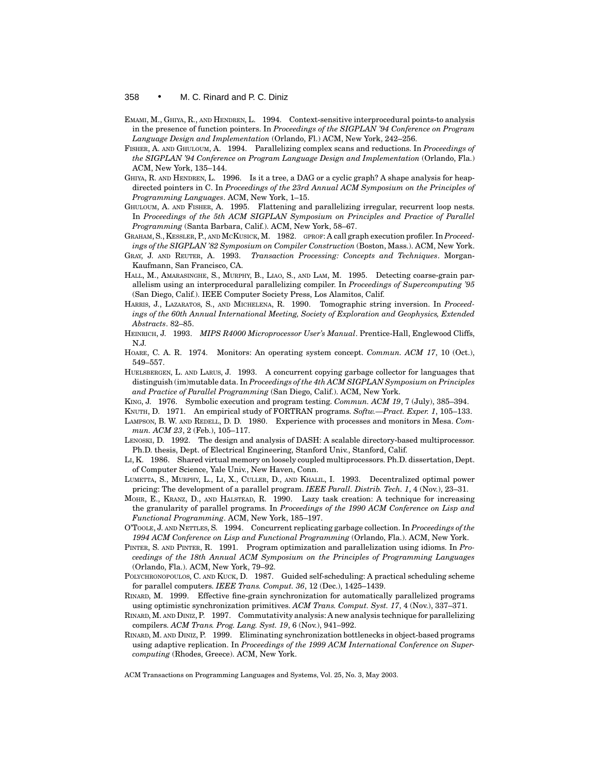- EMAMI, M., GHIYA, R., AND HENDREN, L. 1994. Context-sensitive interprocedural points-to analysis in the presence of function pointers. In *Proceedings of the SIGPLAN '94 Conference on Program Language Design and Implementation* (Orlando, Fl.) ACM, New York, 242–256.
- FISHER, A. AND GHULOUM, A. 1994. Parallelizing complex scans and reductions. In *Proceedings of the SIGPLAN '94 Conference on Program Language Design and Implementation* (Orlando, Fla.) ACM, New York, 135–144.
- GHIYA, R. AND HENDREN, L. 1996. Is it a tree, a DAG or a cyclic graph? A shape analysis for heapdirected pointers in C. In *Proceedings of the 23rd Annual ACM Symposium on the Principles of Programming Languages*. ACM, New York, 1–15.
- GHULOUM, A. AND FISHER, A. 1995. Flattening and parallelizing irregular, recurrent loop nests. In *Proceedings of the 5th ACM SIGPLAN Symposium on Principles and Practice of Parallel Programming* (Santa Barbara, Calif.). ACM, New York, 58–67.
- GRAHAM, S., KESSLER, P., AND MCKUSICK, M. 1982. GPROF: A call graph execution profiler. In *Proceedings of the SIGPLAN '82 Symposium on Compiler Construction* (Boston, Mass.). ACM, New York.
- GRAY, J. AND REUTER, A. 1993. *Transaction Processing: Concepts and Techniques*. Morgan-Kaufmann, San Francisco, CA.
- HALL, M., AMARASINGHE, S., MURPHY, B., LIAO, S., AND LAM, M. 1995. Detecting coarse-grain parallelism using an interprocedural parallelizing compiler. In *Proceedings of Supercomputing '95* (San Diego, Calif.). IEEE Computer Society Press, Los Alamitos, Calif.
- HARRIS, J., LAZARATOS, S., AND MICHELENA, R. 1990. Tomographic string inversion. In *Proceedings of the 60th Annual International Meeting, Society of Exploration and Geophysics, Extended Abstracts*. 82–85.
- HEINRICH, J. 1993. *MIPS R4000 Microprocessor User's Manual*. Prentice-Hall, Englewood Cliffs, N.J.
- HOARE, C. A. R. 1974. Monitors: An operating system concept. *Commun. ACM 17*, 10 (Oct.), 549–557.
- HUELSBERGEN, L. AND LARUS, J. 1993. A concurrent copying garbage collector for languages that distinguish (im)mutable data. In *Proceedings of the 4th ACM SIGPLAN Symposium on Principles and Practice of Parallel Programming* (San Diego, Calif.). ACM, New York.
- KING, J. 1976. Symbolic execution and program testing. *Commun. ACM 19*, 7 (July), 385–394.
- KNUTH, D. 1971. An empirical study of FORTRAN programs. *Softw.—Pract. Exper. 1*, 105–133.
- LAMPSON, B. W. AND REDELL, D. D. 1980. Experience with processes and monitors in Mesa. *Commun. ACM 23*, 2 (Feb.), 105–117.
- LENOSKI, D. 1992. The design and analysis of DASH: A scalable directory-based multiprocessor. Ph.D. thesis, Dept. of Electrical Engineering, Stanford Univ., Stanford, Calif.
- LI, K. 1986. Shared virtual memory on loosely coupled multiprocessors. Ph.D. dissertation, Dept. of Computer Science, Yale Univ., New Haven, Conn.
- LUMETTA, S., MURPHY, L., LI, X., CULLER, D., AND KHALIL, I. 1993. Decentralized optimal power pricing: The development of a parallel program. *IEEE Parall. Distrib. Tech. 1*, 4 (Nov.), 23–31.
- MOHR, E., KRANZ, D., AND HALSTEAD, R. 1990. Lazy task creation: A technique for increasing the granularity of parallel programs. In *Proceedings of the 1990 ACM Conference on Lisp and Functional Programming*. ACM, New York, 185–197.
- O'TOOLE, J. AND NETTLES, S. 1994. Concurrent replicating garbage collection. In *Proceedings of the 1994 ACM Conference on Lisp and Functional Programming* (Orlando, Fla.). ACM, New York.
- PINTER, S. AND PINTER, R. 1991. Program optimization and parallelization using idioms. In *Proceedings of the 18th Annual ACM Symposium on the Principles of Programming Languages* (Orlando, Fla.). ACM, New York, 79–92.
- POLYCHRONOPOULOS, C. AND KUCK, D. 1987. Guided self-scheduling: A practical scheduling scheme for parallel computers. *IEEE Trans. Comput. 36*, 12 (Dec.), 1425–1439.
- RINARD, M. 1999. Effective fine-grain synchronization for automatically parallelized programs using optimistic synchronization primitives. *ACM Trans. Comput. Syst. 17*, 4 (Nov.), 337–371.
- RINARD, M. AND DINIZ, P. 1997. Commutativity analysis: A new analysis technique for parallelizing compilers. *ACM Trans. Prog. Lang. Syst. 19*, 6 (Nov.), 941–992.
- RINARD, M. AND DINIZ, P. 1999. Eliminating synchronization bottlenecks in object-based programs using adaptive replication. In *Proceedings of the 1999 ACM International Conference on Supercomputing* (Rhodes, Greece). ACM, New York.